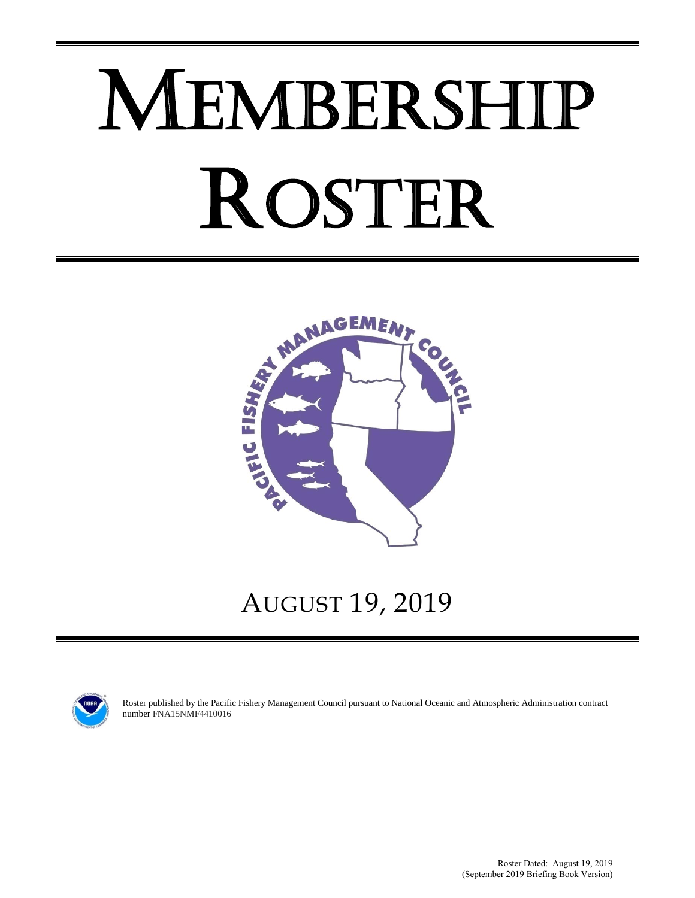# MEMBERSHIP ROSTER



# AUGUST 19, 2019



Roster published by the Pacific Fishery Management Council pursuant to National Oceanic and Atmospheric Administration contract number FNA15NMF4410016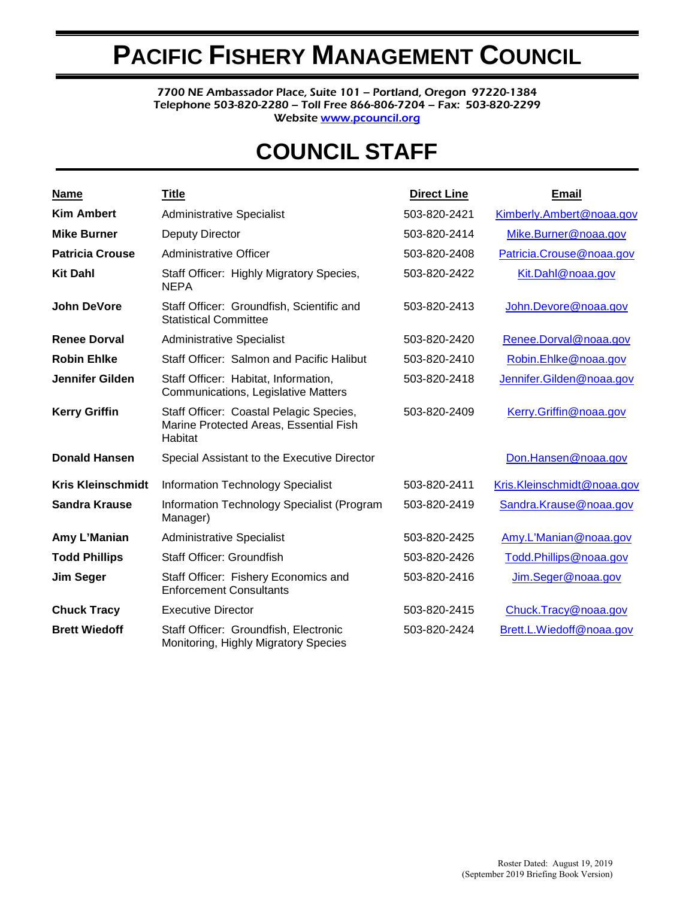# **PACIFIC FISHERY MANAGEMENT COUNCIL**

7700 NE Ambassador Place, Suite 101 – Portland, Oregon 97220-1384 Telephone 503-820-2280 – Toll Free 866-806-7204 – Fax: 503-820-2299 Websit[e www.pcouncil.org](http://www.pcouncil.org/)

# **COUNCIL STAFF**

| <u>Name</u>              | <b>Title</b>                                                                                 | <b>Direct Line</b> | <b>Email</b>               |
|--------------------------|----------------------------------------------------------------------------------------------|--------------------|----------------------------|
| <b>Kim Ambert</b>        | <b>Administrative Specialist</b>                                                             | 503-820-2421       | Kimberly.Ambert@noaa.gov   |
| <b>Mike Burner</b>       | Deputy Director                                                                              | 503-820-2414       | Mike.Burner@noaa.gov       |
| <b>Patricia Crouse</b>   | <b>Administrative Officer</b>                                                                | 503-820-2408       | Patricia.Crouse@noaa.gov   |
| <b>Kit Dahl</b>          | Staff Officer: Highly Migratory Species,<br><b>NEPA</b>                                      | 503-820-2422       | Kit.Dahl@noaa.gov          |
| <b>John DeVore</b>       | Staff Officer: Groundfish, Scientific and<br><b>Statistical Committee</b>                    | 503-820-2413       | John.Devore@noaa.gov       |
| <b>Renee Dorval</b>      | <b>Administrative Specialist</b>                                                             | 503-820-2420       | Renee.Dorval@noaa.gov      |
| <b>Robin Ehlke</b>       | Staff Officer: Salmon and Pacific Halibut                                                    | 503-820-2410       | Robin.Ehlke@noaa.gov       |
| <b>Jennifer Gilden</b>   | Staff Officer: Habitat, Information,<br>Communications, Legislative Matters                  | 503-820-2418       | Jennifer.Gilden@noaa.gov   |
| <b>Kerry Griffin</b>     | Staff Officer: Coastal Pelagic Species,<br>Marine Protected Areas, Essential Fish<br>Habitat | 503-820-2409       | Kerry.Griffin@noaa.gov     |
| <b>Donald Hansen</b>     | Special Assistant to the Executive Director                                                  |                    | Don.Hansen@noaa.gov        |
| <b>Kris Kleinschmidt</b> | <b>Information Technology Specialist</b>                                                     | 503-820-2411       | Kris.Kleinschmidt@noaa.gov |
| Sandra Krause            | Information Technology Specialist (Program<br>Manager)                                       | 503-820-2419       | Sandra.Krause@noaa.gov     |
| Amy L'Manian             | <b>Administrative Specialist</b>                                                             | 503-820-2425       | Amy.L'Manian@noaa.gov      |
| <b>Todd Phillips</b>     | Staff Officer: Groundfish                                                                    | 503-820-2426       | Todd.Phillips@noaa.gov     |
| <b>Jim Seger</b>         | Staff Officer: Fishery Economics and<br><b>Enforcement Consultants</b>                       | 503-820-2416       | Jim.Seger@noaa.gov         |
| <b>Chuck Tracy</b>       | <b>Executive Director</b>                                                                    | 503-820-2415       | Chuck.Tracy@noaa.gov       |
| <b>Brett Wiedoff</b>     | Staff Officer: Groundfish, Electronic<br>Monitoring, Highly Migratory Species                | 503-820-2424       | Brett.L.Wiedoff@noaa.gov   |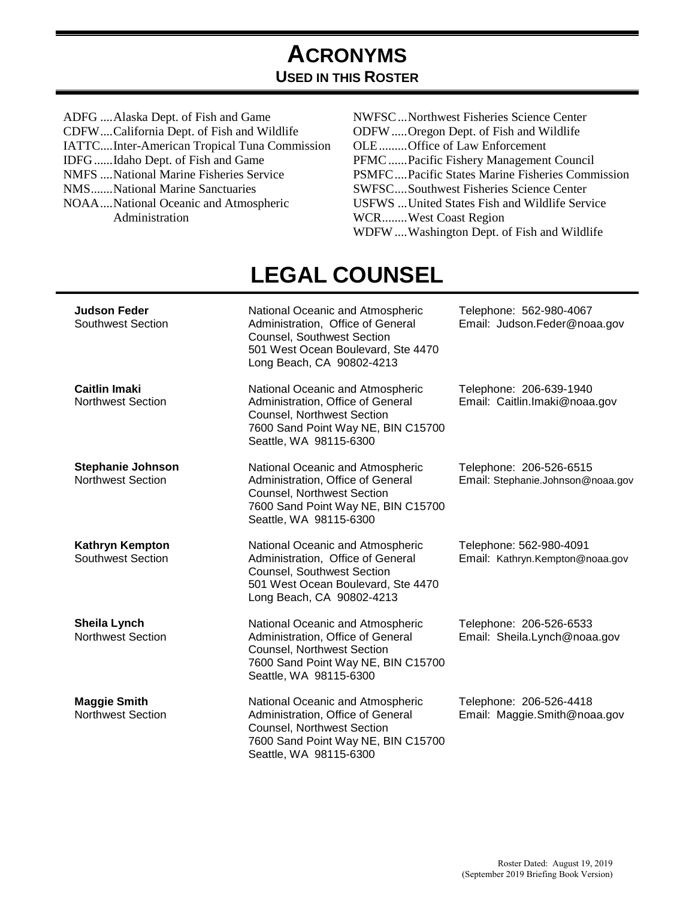# **ACRONYMS USED IN THIS ROSTER**

- ADFG ....Alaska Dept. of Fish and Game CDFW .... California Dept. of Fish and Wildlife IATTC .... Inter-American Tropical Tuna Commission IDFG ...... Idaho Dept. of Fish and Game NMFS .... National Marine Fisheries Service NMS ....... National Marine Sanctuaries NOAA .... National Oceanic and Atmospheric Administration
- NWFSC...Northwest Fisheries Science Center ODFW ..... Oregon Dept. of Fish and Wildlife OLE ......... Office of Law Enforcement PFMC ...... Pacific Fishery Management Council PSMFC .... Pacific States Marine Fisheries Commission SWFSC .... Southwest Fisheries Science Center USFWS ... United States Fish and Wildlife Service WCR ........ West Coast Region WDFW....Washington Dept. of Fish and Wildlife

|                                                      | LLUAL VUUIVULL                                                                                                                                                             |                                                              |
|------------------------------------------------------|----------------------------------------------------------------------------------------------------------------------------------------------------------------------------|--------------------------------------------------------------|
| <b>Judson Feder</b><br><b>Southwest Section</b>      | National Oceanic and Atmospheric<br>Administration, Office of General<br>Counsel, Southwest Section<br>501 West Ocean Boulevard, Ste 4470<br>Long Beach, CA 90802-4213     | Telephone: 562-980-4067<br>Email: Judson.Feder@noaa.gov      |
| <b>Caitlin Imaki</b><br><b>Northwest Section</b>     | National Oceanic and Atmospheric<br>Administration, Office of General<br><b>Counsel, Northwest Section</b><br>7600 Sand Point Way NE, BIN C15700<br>Seattle, WA 98115-6300 | Telephone: 206-639-1940<br>Email: Caitlin.Imaki@noaa.gov     |
| <b>Stephanie Johnson</b><br><b>Northwest Section</b> | National Oceanic and Atmospheric<br>Administration, Office of General<br><b>Counsel, Northwest Section</b><br>7600 Sand Point Way NE, BIN C15700<br>Seattle, WA 98115-6300 | Telephone: 206-526-6515<br>Email: Stephanie.Johnson@noaa.gov |
| Kathryn Kempton<br><b>Southwest Section</b>          | National Oceanic and Atmospheric<br>Administration, Office of General<br>Counsel, Southwest Section<br>501 West Ocean Boulevard, Ste 4470<br>Long Beach, CA 90802-4213     | Telephone: 562-980-4091<br>Email: Kathryn.Kempton@noaa.gov   |
| Sheila Lynch<br><b>Northwest Section</b>             | National Oceanic and Atmospheric<br>Administration, Office of General<br>Counsel, Northwest Section<br>7600 Sand Point Way NE, BIN C15700<br>Seattle, WA 98115-6300        | Telephone: 206-526-6533<br>Email: Sheila.Lynch@noaa.gov      |
| <b>Maggie Smith</b><br><b>Northwest Section</b>      | National Oceanic and Atmospheric<br>Administration, Office of General<br>Counsel, Northwest Section<br>7600 Sand Point Way NE, BIN C15700<br>Seattle, WA 98115-6300        | Telephone: 206-526-4418<br>Email: Maggie.Smith@noaa.gov      |

# **LEGAL COUNSEL**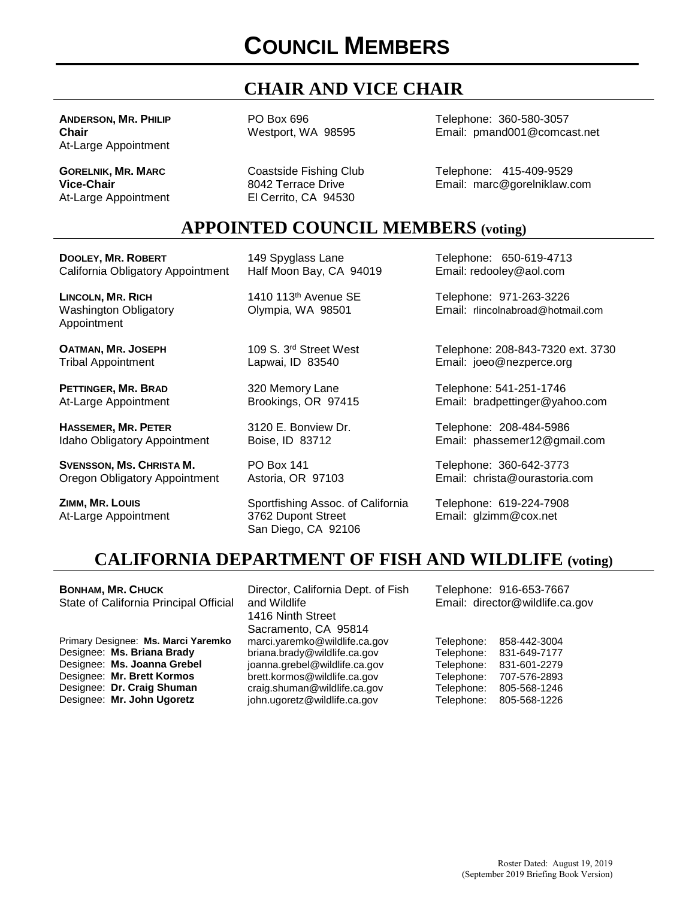# **COUNCIL MEMBERS**

## **CHAIR AND VICE CHAIR**

**ANDERSON, MR. PHILIP Chair** At-Large Appointment

**GORELNIK, MR. MARC Vice-Chair** At-Large Appointment PO Box 696 Westport, WA 98595

Coastside Fishing Club 8042 Terrace Drive El Cerrito, CA 94530

Telephone: 360-580-3057 Email: pmand001@comcast.net

Telephone: 415-409-9529 Email: marc@gorelniklaw.com

#### **APPOINTED COUNCIL MEMBERS (voting)**

**DOOLEY, MR. ROBERT** California Obligatory Appointment

**LINCOLN, MR. RICH** Washington Obligatory Appointment

**OATMAN, MR. JOSEPH** Tribal Appointment

**PETTINGER, MR. BRAD** At-Large Appointment

**HASSEMER, MR. PETER** Idaho Obligatory Appointment

**SVENSSON, MS. CHRISTA M.** Oregon Obligatory Appointment

**ZIMM, MR. LOUIS** At-Large Appointment 149 Spyglass Lane Half Moon Bay, CA 94019

1410 113th Avenue SE Olympia, WA 98501

109 S. 3rd Street West Lapwai, ID 83540

320 Memory Lane Brookings, OR 97415

3120 E. Bonview Dr. Boise, ID 83712

PO Box 141 Astoria, OR 97103

Sportfishing Assoc. of California 3762 Dupont Street San Diego, CA 92106

Telephone: 650-619-4713 Email: redooley@aol.com

Telephone: 971-263-3226 Email: rlincolnabroad@hotmail.com

Telephone: 208-843-7320 ext. 3730 Email: joeo@nezperce.org

Telephone: 541-251-1746 Email: bradpettinger@yahoo.com

Telephone: 208-484-5986 Email: phassemer12@gmail.com

Telephone: 360-642-3773 Email: christa@ourastoria.com

Telephone: 619-224-7908 Email: glzimm@cox.net

#### **CALIFORNIA DEPARTMENT OF FISH AND WILDLIFE (voting)**

**BONHAM, MR. CHUCK** State of California Principal Official Primary Designee: **Ms. Marci Yaremko** Designee: **Ms. Briana Brady**

Designee: **Ms. Joanna Grebel** Designee: **Mr. Brett Kormos** Designee: **Dr. Craig Shuman** Designee: **Mr. John Ugoretz**

Director, California Dept. of Fish and Wildlife 1416 Ninth Street Sacramento, CA 95814 marci.yaremko@wildlife.ca.gov briana.brady@wildlife.ca.gov joanna.grebel@wildlife.ca.gov brett.kormos@wildlife.ca.gov craig.shuman@wildlife.ca.gov john.ugoretz@wildlife.ca.gov

Telephone: 916-653-7667 Email: director@wildlife.ca.gov

| Telephone: | 858-442-3004 |
|------------|--------------|
| Telephone: | 831-649-7177 |
| Telephone: | 831-601-2279 |
| Telephone: | 707-576-2893 |
| Telephone: | 805-568-1246 |
| Telephone: | 805-568-1226 |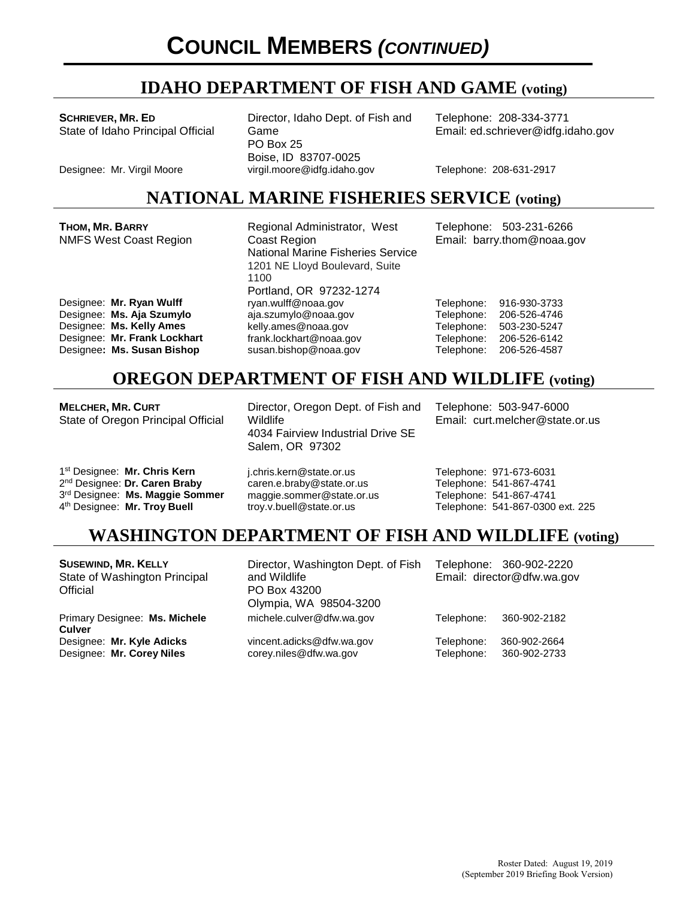## **IDAHO DEPARTMENT OF FISH AND GAME (voting)**

**SCHRIEVER, MR. ED** State of Idaho Principal Official

**THOM, MR. BARRY**

Director, Idaho Dept. of Fish and Game PO Box 25 Boise, ID 83707-0025 Designee: Mr. Virgil Moore virgil.moore@idfg.idaho.gov Telephone: 208-631-2917

Regional Administrator, West

Telephone: 208-334-3771 Email: ed.schriever@idfg.idaho.gov

Telephone: 503-231-6266

#### **NATIONAL MARINE FISHERIES SERVICE (voting)**

| <b>NMFS West Coast Region</b> | Coast Region<br><b>National Marine Fisheries Service</b><br>1201 NE Lloyd Boulevard, Suite<br>1100 |            | Email: barry.thom@noaa.gov |
|-------------------------------|----------------------------------------------------------------------------------------------------|------------|----------------------------|
|                               | Portland, OR 97232-1274                                                                            |            |                            |
| Designee: Mr. Ryan Wulff      | ryan.wulff@noaa.gov                                                                                | Telephone: | 916-930-3733               |
| Designee: Ms. Aja Szumylo     | aja.szumylo@noaa.gov                                                                               | Telephone: | 206-526-4746               |
| Designee: Ms. Kelly Ames      | kelly.ames@noaa.gov                                                                                | Telephone: | 503-230-5247               |
| Designee: Mr. Frank Lockhart  | frank.lockhart@noaa.gov                                                                            | Telephone: | 206-526-6142               |
| Designee: Ms. Susan Bishop    | susan.bishop@noaa.gov                                                                              | Telephone: | 206-526-4587               |
|                               | <b>OREGON DEPARTMENT OF FISH AND WILDLIFE (voting)</b>                                             |            |                            |

**MELCHER, MR. CURT** State of Oregon Principal Official

1st Designee: **Mr. Chris Kern** 2nd Designee: **Dr. Caren Braby** 3rd Designee: **Ms. Maggie Sommer** 4th Designee: **Mr. Troy Buell**

Director, Oregon Dept. of Fish and Wildlife 4034 Fairview Industrial Drive SE Salem, OR 97302

Telephone: 503-947-6000 Email: curt.melcher@state.or.us

j.chris.kern@state.or.us caren.e.braby@state.or.us maggie.sommer@state.or.us troy.v.buell@state.or.us

Telephone: 971-673-6031 Telephone: 541-867-4741 Telephone: 541-867-4741 Telephone: 541-867-0300 ext. 225

## **WASHINGTON DEPARTMENT OF FISH AND WILDLIFE (voting)**

| <b>SUSEWIND, MR. KELLY</b><br>State of Washington Principal<br>Official | Director, Washington Dept. of Fish<br>and Wildlife<br>PO Box 43200<br>Olympia, WA 98504-3200 |                          | Telephone: 360-902-2220<br>Email: director@dfw.wa.gov |
|-------------------------------------------------------------------------|----------------------------------------------------------------------------------------------|--------------------------|-------------------------------------------------------|
| Primary Designee: Ms. Michele<br><b>Culver</b>                          | michele.culver@dfw.wa.gov                                                                    | Telephone:               | 360-902-2182                                          |
| Designee: Mr. Kyle Adicks<br>Designee: Mr. Corey Niles                  | vincent.adicks@dfw.wa.gov<br>corey.niles@dfw.wa.gov                                          | Telephone:<br>Telephone: | 360-902-2664<br>360-902-2733                          |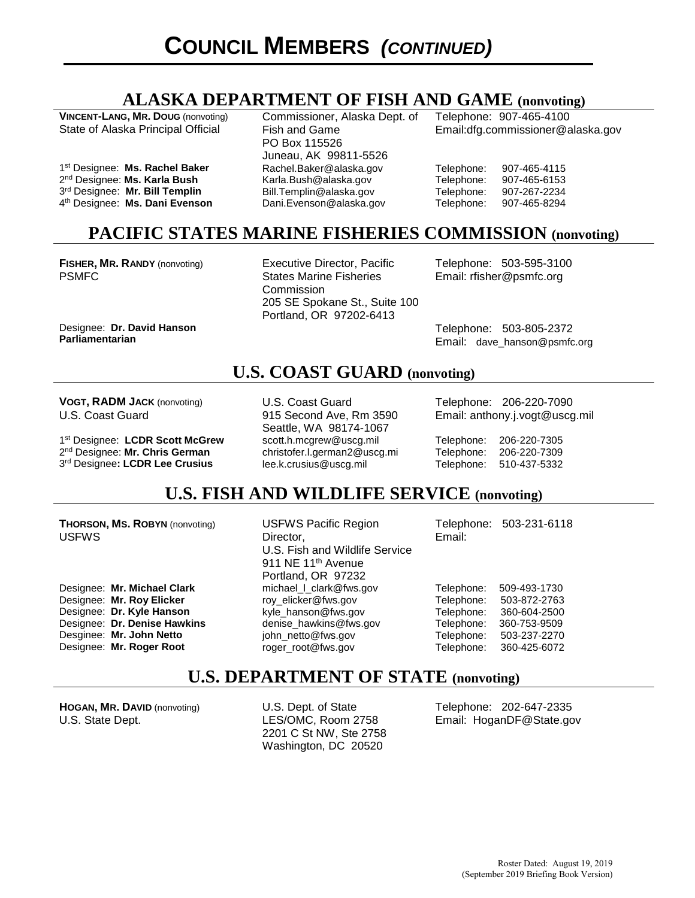#### **ALASKA DEPARTMENT OF FISH AND GAME (nonvoting)**

**VINCENT-LANG, MR. DOUG** (nonvoting) State of Alaska Principal Official

1st Designee: **Ms. Rachel Baker** 2nd Designee: **Ms. Karla Bush** 3rd Designee: **Mr. Bill Templin**  4th Designee: **Ms. Dani Evenson** Commissioner, Alaska Dept. of Fish and Game PO Box 115526 Juneau, AK 99811-5526 Rachel.Baker@alaska.gov Karla.Bush@alaska.gov Bill.Templin@alaska.gov Dani.Evenson@alaska.gov

Telephone: 907-465-4100 Email:dfg.commissioner@alaska.gov

Telephone: 907-465-4115<br>Telephone: 907-465-6153 Telephone: 907-465-6153 Telephone: 907-267-2234 Telephone: 907-465-8294

#### **PACIFIC STATES MARINE FISHERIES COMMISSION (nonvoting)**

**FISHER, MR. RANDY** (nonvoting) PSMFC

Designee: **Dr. David Hanson**

**Parliamentarian**

Executive Director, Pacific States Marine Fisheries **Commission** 205 SE Spokane St., Suite 100 Portland, OR 97202-6413

Telephone: 503-595-3100 Email: rfisher@psmfc.org

Telephone: 503-805-2372 Email: dave\_hanson@psmfc.org

#### **U.S. COAST GUARD (nonvoting)**

**VOGT, RADM JACK** (nonvoting) U.S. Coast Guard

1st Designee: **LCDR Scott McGrew** 2nd Designee: **Mr. Chris German** 3rd Designee**: LCDR Lee Crusius**

U.S. Coast Guard 915 Second Ave, Rm 3590 Seattle, WA 98174-1067 scott.h.mcgrew@uscg.mil christofer.l.german2@uscg.mi lee.k.crusius@uscg.mil

Telephone: 206-220-7090 Email: anthony.j.vogt@uscg.mil

Telephone: 206-220-7305 Telephone: 206-220-7309 Telephone: 510-437-5332

#### **U.S. FISH AND WILDLIFE SERVICE (nonvoting)**

**THORSON, MS. ROBYN** (nonvoting) USFWS

Designee: **Mr. Michael Clark** Designee: **Mr. Roy Elicker** Designee: **Dr. Kyle Hanson** Designee: **Dr. Denise Hawkins** Desginee: **Mr. John Netto** Designee: **Mr. Roger Root**

USFWS Pacific Region Director, U.S. Fish and Wildlife Service 911 NE 11<sup>th</sup> Avenue Portland, OR 97232 michael\_l\_clark@fws.gov roy\_elicker@fws.gov kyle\_hanson@fws.gov denise\_hawkins@fws.gov john\_netto@fws.gov roger\_root@fws.gov

Telephone: 503-231-6118 Email:

Telephone: 509-493-1730 Telephone: 503-872-2763 Telephone: 360-604-2500 Telephone: 360-753-9509 Telephone: 503-237-2270 Telephone: 360-425-6072

#### **U.S. DEPARTMENT OF STATE (nonvoting)**

**HOGAN, MR. DAVID** (nonvoting) U.S. State Dept.

U.S. Dept. of State LES/OMC, Room 2758 2201 C St NW, Ste 2758 Washington, DC 20520

Telephone: 202-647-2335 Email: HoganDF@State.gov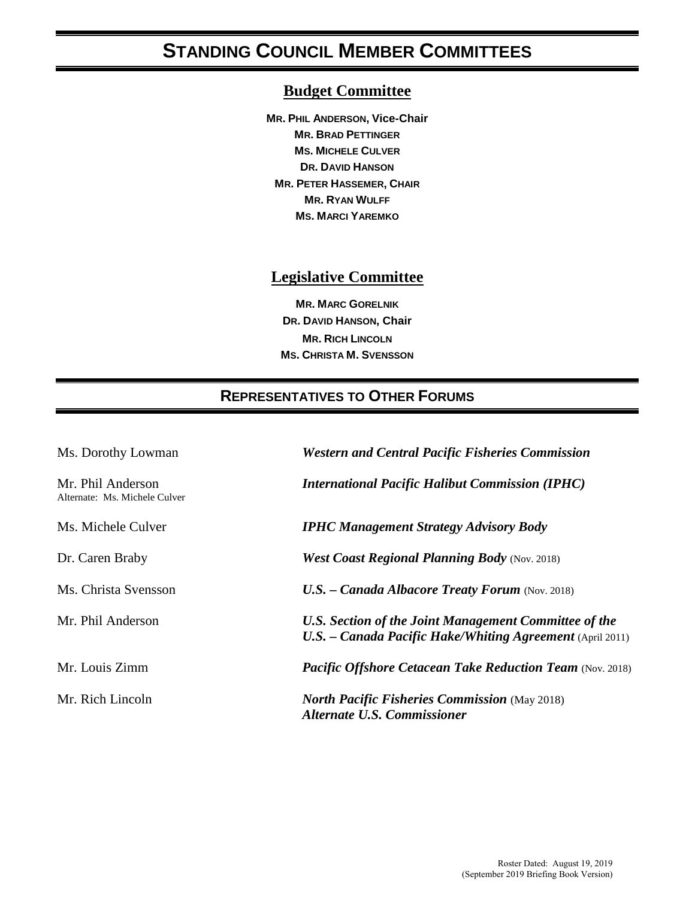# **STANDING COUNCIL MEMBER COMMITTEES**

#### **Budget Committee**

**MR. PHIL ANDERSON, Vice-Chair MR. BRAD PETTINGER MS. MICHELE CULVER DR. DAVID HANSON MR. PETER HASSEMER, CHAIR MR. RYAN WULFF MS. MARCI YAREMKO**

#### **Legislative Committee**

**MR. MARC GORELNIK DR. DAVID HANSON, Chair MR. RICH LINCOLN MS. CHRISTA M. SVENSSON**

#### **REPRESENTATIVES TO OTHER FORUMS**

| Ms. Dorothy Lowman                                 | <b>Western and Central Pacific Fisheries Commission</b>                                                              |  |
|----------------------------------------------------|----------------------------------------------------------------------------------------------------------------------|--|
| Mr. Phil Anderson<br>Alternate: Ms. Michele Culver | <b>International Pacific Halibut Commission (IPHC)</b>                                                               |  |
| Ms. Michele Culver                                 | <b>IPHC Management Strategy Advisory Body</b>                                                                        |  |
| Dr. Caren Braby                                    | <b>West Coast Regional Planning Body</b> (Nov. 2018)                                                                 |  |
| Ms. Christa Svensson                               | $U.S.$ – Canada Albacore Treaty Forum (Nov. 2018)                                                                    |  |
| Mr. Phil Anderson                                  | U.S. Section of the Joint Management Committee of the<br>$U.S.$ – Canada Pacific Hake/Whiting Agreement (April 2011) |  |
| Mr. Louis Zimm                                     | <b>Pacific Offshore Cetacean Take Reduction Team (Nov. 2018)</b>                                                     |  |
| Mr. Rich Lincoln                                   | <b>North Pacific Fisheries Commission</b> (May 2018)<br><b>Alternate U.S. Commissioner</b>                           |  |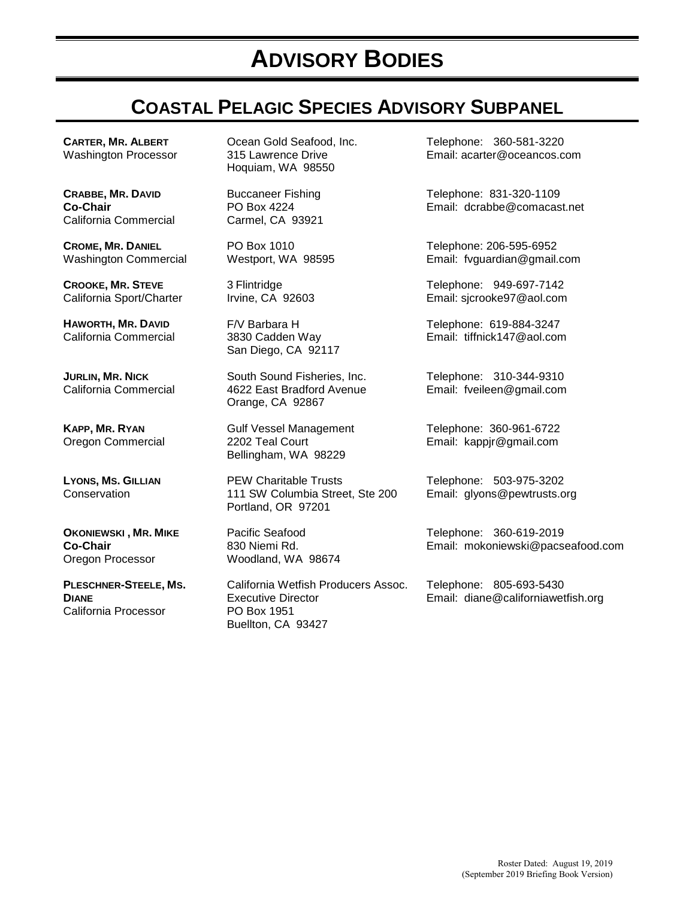# **ADVISORY BODIES**

# **COASTAL PELAGIC SPECIES ADVISORY SUBPANEL**

**CARTER, MR. ALBERT** Washington Processor

**CRABBE, MR. DAVID Co-Chair**  California Commercial

**CROME, MR. DANIEL** Washington Commercial

**CROOKE, MR. STEVE** California Sport/Charter

**HAWORTH, MR. DAVID** California Commercial

**JURLIN, MR. NICK** California Commercial

**KAPP, MR. RYAN** Oregon Commercial

**LYONS, MS. GILLIAN Conservation** 

**OKONIEWSKI , MR. MIKE Co-Chair** Oregon Processor

**PLESCHNER-STEELE, MS. DIANE** California Processor

Ocean Gold Seafood, Inc. 315 Lawrence Drive Hoquiam, WA 98550

Buccaneer Fishing PO Box 4224 Carmel, CA 93921

PO Box 1010 Westport, WA 98595

3 Flintridge Irvine, CA 92603

F/V Barbara H 3830 Cadden Way San Diego, CA 92117

South Sound Fisheries, Inc. 4622 East Bradford Avenue Orange, CA 92867

Gulf Vessel Management 2202 Teal Court Bellingham, WA 98229

PEW Charitable Trusts 111 SW Columbia Street, Ste 200 Portland, OR 97201

Pacific Seafood 830 Niemi Rd. Woodland, WA 98674

California Wetfish Producers Assoc. Executive Director PO Box 1951 Buellton, CA 93427

Telephone: 360-581-3220 Email: acarter@oceancos.com

Telephone: 831-320-1109 Email: dcrabbe@comacast.net

Telephone: 206-595-6952 Email: fvguardian@gmail.com

Telephone: 949-697-7142 Email: sjcrooke97@aol.com

Telephone: 619-884-3247 Email: tiffnick147@aol.com

Telephone: 310-344-9310 Email: fveileen@gmail.com

Telephone: 360-961-6722 Email: kappjr@gmail.com

Telephone: 503-975-3202 Email: glyons@pewtrusts.org

Telephone: 360-619-2019 Email: mokoniewski@pacseafood.com

Telephone: 805-693-5430 Email: [diane@californiawetfish.org](mailto:diane@californiawetfish.org)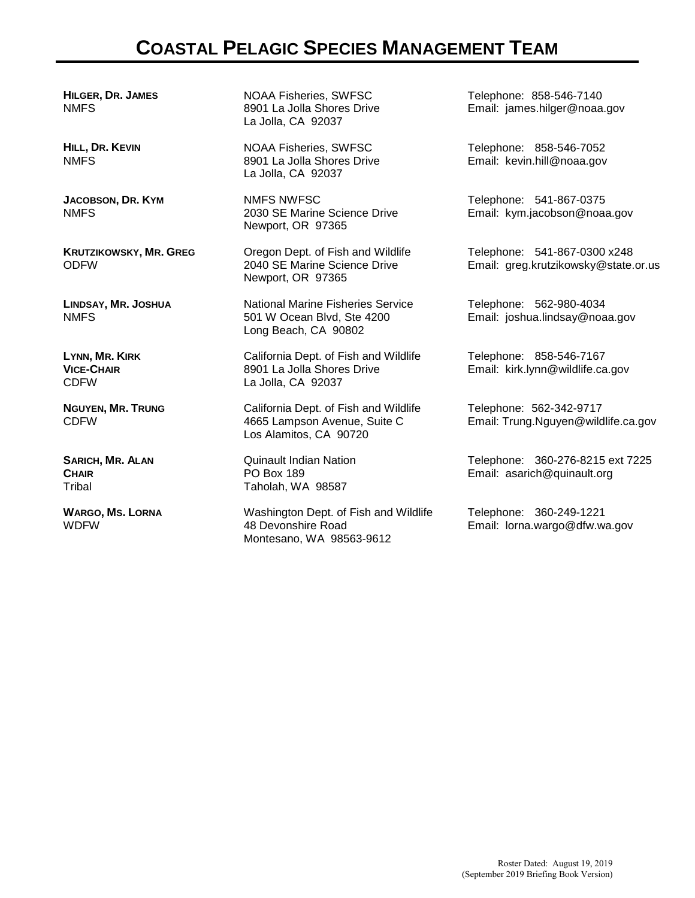## **COASTAL PELAGIC SPECIES MANAGEMENT TEAM**

**HILGER, DR. JAMES** NMFS

**HILL, DR. KEVIN** NMFS

**JACOBSON, DR. KYM** NMFS

**KRUTZIKOWSKY, MR. GREG** ODFW

**LINDSAY, MR. JOSHUA** NMFS

**LYNN, MR. KIRK VICE-CHAIR** CDFW

**NGUYEN, MR. TRUNG** CDFW

**SARICH, MR. ALAN CHAIR**  Tribal

**WARGO, MS. LORNA** WDFW

NOAA Fisheries, SWFSC 8901 La Jolla Shores Drive La Jolla, CA 92037

NOAA Fisheries, SWFSC 8901 La Jolla Shores Drive La Jolla, CA 92037

NMFS NWFSC 2030 SE Marine Science Drive Newport, OR 97365

Oregon Dept. of Fish and Wildlife 2040 SE Marine Science Drive Newport, OR 97365

National Marine Fisheries Service 501 W Ocean Blvd, Ste 4200 Long Beach, CA 90802

California Dept. of Fish and Wildlife 8901 La Jolla Shores Drive La Jolla, CA 92037

California Dept. of Fish and Wildlife 4665 Lampson Avenue, Suite C Los Alamitos, CA 90720

Quinault Indian Nation PO Box 189 Taholah, WA 98587

Washington Dept. of Fish and Wildlife 48 Devonshire Road Montesano, WA 98563-9612

Telephone: 858-546-7140 Email: james.hilger@noaa.gov

Telephone: 858-546-7052 Email: kevin.hill@noaa.gov

Telephone: 541-867-0375 Email: kym.jacobson@noaa.gov

Telephone: 541-867-0300 x248 Email: greg.krutzikowsky@state.or.us

Telephone: 562-980-4034 Email: joshua.lindsay@noaa.gov

Telephone: 858-546-7167 Email: kirk.lynn@wildlife.ca.gov

Telephone: 562-342-9717 Email: Trung.Nguyen@wildlife.ca.gov

Telephone: 360-276-8215 ext 7225 Email: asarich@quinault.org

Telephone: 360-249-1221 Email: lorna.wargo@dfw.wa.gov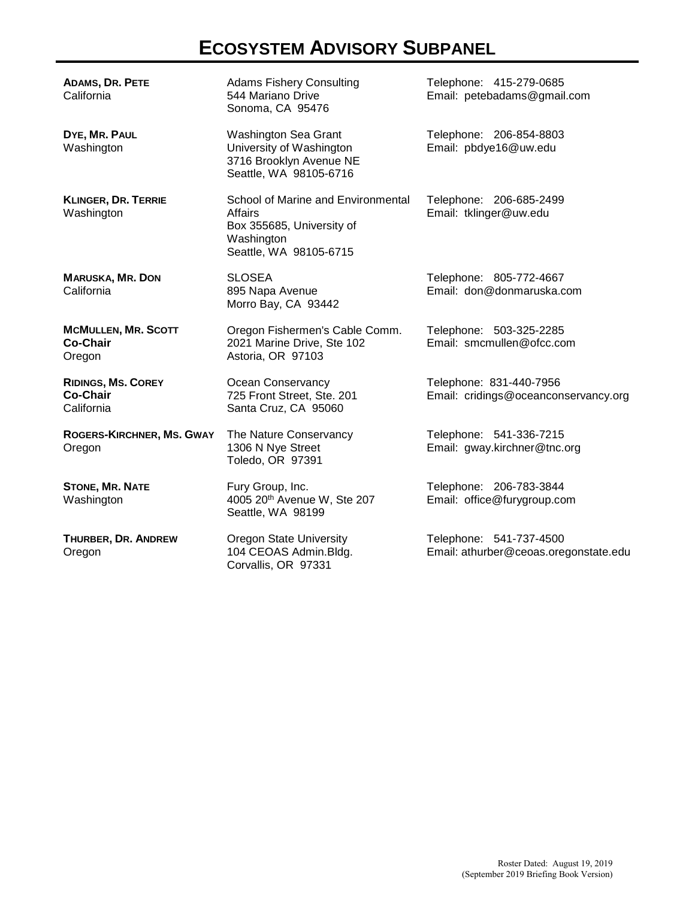# **ECOSYSTEM ADVISORY SUBPANEL**

| <b>ADAMS, DR. PETE</b><br>California                       | <b>Adams Fishery Consulting</b><br>544 Mariano Drive<br>Sonoma, CA 95476                                                  | Telephone: 415-279-0685<br>Email: petebadams@gmail.com           |
|------------------------------------------------------------|---------------------------------------------------------------------------------------------------------------------------|------------------------------------------------------------------|
| DYE, MR. PAUL<br>Washington                                | Washington Sea Grant<br>University of Washington<br>3716 Brooklyn Avenue NE<br>Seattle, WA 98105-6716                     | Telephone: 206-854-8803<br>Email: pbdye16@uw.edu                 |
| <b>KLINGER, DR. TERRIE</b><br>Washington                   | School of Marine and Environmental<br><b>Affairs</b><br>Box 355685, University of<br>Washington<br>Seattle, WA 98105-6715 | Telephone: 206-685-2499<br>Email: tklinger@uw.edu                |
| <b>MARUSKA, MR. DON</b><br>California                      | <b>SLOSEA</b><br>895 Napa Avenue<br>Morro Bay, CA 93442                                                                   | Telephone: 805-772-4667<br>Email: don@donmaruska.com             |
| <b>MCMULLEN, MR. SCOTT</b><br><b>Co-Chair</b><br>Oregon    | Oregon Fishermen's Cable Comm.<br>2021 Marine Drive, Ste 102<br>Astoria, OR 97103                                         | Telephone: 503-325-2285<br>Email: smcmullen@ofcc.com             |
| <b>RIDINGS, MS. COREY</b><br><b>Co-Chair</b><br>California | Ocean Conservancy<br>725 Front Street, Ste. 201<br>Santa Cruz, CA 95060                                                   | Telephone: 831-440-7956<br>Email: cridings@oceanconservancy.org  |
| ROGERS-KIRCHNER, MS. GWAY<br>Oregon                        | The Nature Conservancy<br>1306 N Nye Street<br>Toledo, OR 97391                                                           | Telephone: 541-336-7215<br>Email: gway.kirchner@tnc.org          |
| <b>STONE, MR. NATE</b><br>Washington                       | Fury Group, Inc.<br>4005 20th Avenue W, Ste 207<br>Seattle, WA 98199                                                      | Telephone: 206-783-3844<br>Email: office@furygroup.com           |
| THURBER, DR. ANDREW<br>Oregon                              | <b>Oregon State University</b><br>104 CEOAS Admin.Bldg.<br>Corvallis, OR 97331                                            | Telephone: 541-737-4500<br>Email: athurber@ceoas.oregonstate.edu |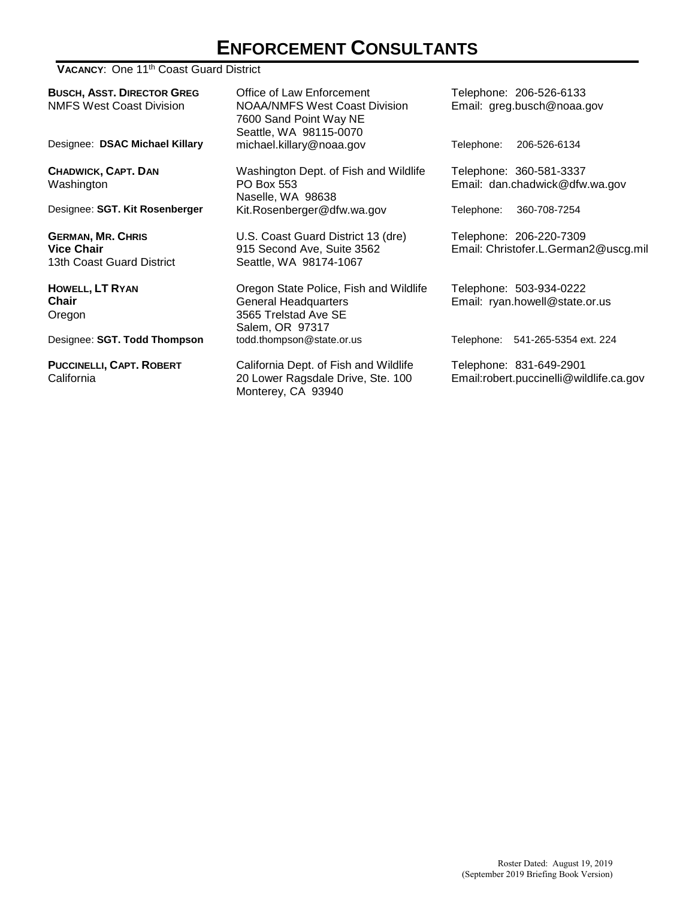# **ENFORCEMENT CONSULTANTS**

#### **VACANCY: One 11<sup>th</sup> Coast Guard District**

| <b>BUSCH, ASST. DIRECTOR GREG</b><br><b>NMFS West Coast Division</b>       | Office of Law Enforcement<br><b>NOAA/NMFS West Coast Division</b><br>7600 Sand Point Way NE<br>Seattle, WA 98115-0070 | Telephone: 206-526-6133<br>Email: greg.busch@noaa.gov              |
|----------------------------------------------------------------------------|-----------------------------------------------------------------------------------------------------------------------|--------------------------------------------------------------------|
| Designee: DSAC Michael Killary                                             | michael.killary@noaa.gov                                                                                              | Telephone:<br>206-526-6134                                         |
| CHADWICK, CAPT. DAN<br>Washington                                          | Washington Dept. of Fish and Wildlife<br>PO Box 553<br>Naselle, WA 98638                                              | Telephone: 360-581-3337<br>Email: dan.chadwick@dfw.wa.gov          |
| Designee: SGT. Kit Rosenberger                                             | Kit.Rosenberger@dfw.wa.gov                                                                                            | 360-708-7254<br>Telephone:                                         |
| <b>GERMAN, MR. CHRIS</b><br><b>Vice Chair</b><br>13th Coast Guard District | U.S. Coast Guard District 13 (dre)<br>915 Second Ave, Suite 3562<br>Seattle, WA 98174-1067                            | Telephone: 206-220-7309<br>Email: Christofer.L.German2@uscg.mil    |
| HOWELL, LT RYAN<br>Chair<br>Oregon                                         | Oregon State Police, Fish and Wildlife<br><b>General Headquarters</b><br>3565 Trelstad Ave SE<br>Salem, OR 97317      | Telephone: 503-934-0222<br>Email: ryan.howell@state.or.us          |
| Designee: SGT. Todd Thompson                                               | todd.thompson@state.or.us                                                                                             | Telephone: 541-265-5354 ext. 224                                   |
| <b>PUCCINELLI, CAPT. ROBERT</b><br>California                              | California Dept. of Fish and Wildlife<br>20 Lower Ragsdale Drive, Ste. 100<br>Monterey, CA 93940                      | Telephone: 831-649-2901<br>Email:robert.puccinelli@wildlife.ca.gov |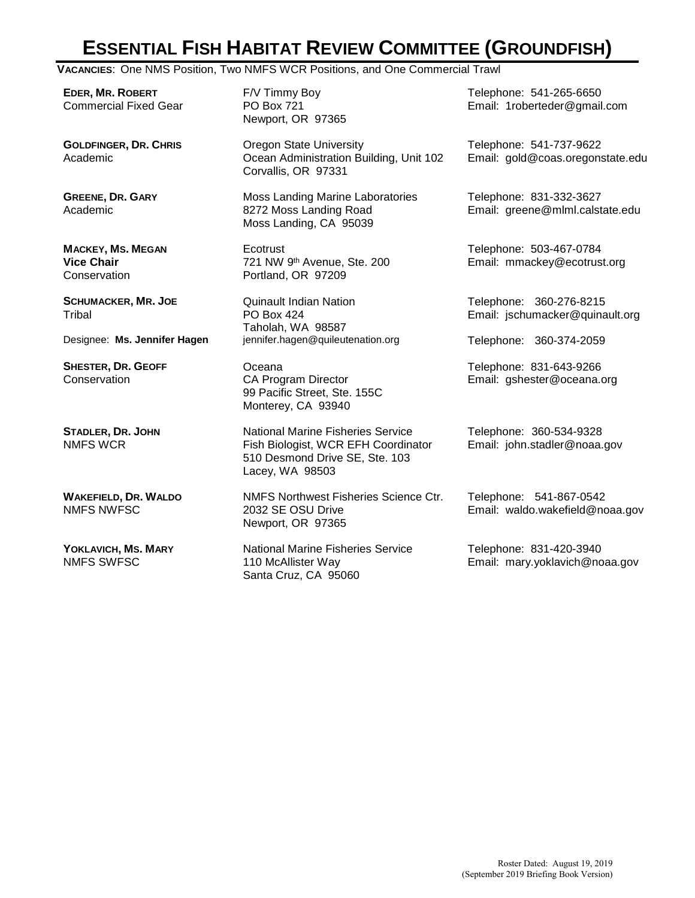# **ESSENTIAL FISH HABITAT REVIEW COMMITTEE (GROUNDFISH)**

**VACANCIES**: One NMS Position, Two NMFS WCR Positions, and One Commercial Trawl

**EDER, MR. ROBERT** Commercial Fixed Gear

**GOLDFINGER, DR. CHRIS** Academic

**GREENE, DR. GARY** Academic

**MACKEY, MS. MEGAN Vice Chair Conservation** 

**SCHUMACKER, MR. JOE Tribal** 

**SHESTER, DR. GEOFF Conservation** 

**STADLER, DR. JOHN** NMFS WCR

**WAKEFIELD, DR. WALDO** NMFS NWFSC

**YOKLAVICH, MS. MARY** NMFS SWFSC

F/V Timmy Boy PO Box 721 Newport, OR 97365

Oregon State University Ocean Administration Building, Unit 102 Corvallis, OR 97331

Moss Landing Marine Laboratories 8272 Moss Landing Road Moss Landing, CA 95039

**Ecotrust** 721 NW 9th Avenue, Ste. 200 Portland, OR 97209

Quinault Indian Nation PO Box 424 Taholah, WA 98587 Designee: **Ms. Jennifer Hagen** jennifer.hagen@quileutenation.org Telephone: 360-374-2059

> Oceana CA Program Director 99 Pacific Street, Ste. 155C Monterey, CA 93940

National Marine Fisheries Service Fish Biologist, WCR EFH Coordinator 510 Desmond Drive SE, Ste. 103 Lacey, WA 98503

NMFS Northwest Fisheries Science Ctr. 2032 SE OSU Drive Newport, OR 97365

National Marine Fisheries Service 110 McAllister Way Santa Cruz, CA 95060

Telephone: 541-265-6650 Email: 1roberteder@gmail.com

Telephone: 541-737-9622 Email: gold@coas.oregonstate.edu

Telephone: 831-332-3627 Email: greene@mlml.calstate.edu

Telephone: 503-467-0784 Email: mmackey@ecotrust.org

Telephone: 360-276-8215 Email: jschumacker@quinault.org

Telephone: 831-643-9266 Email: gshester@oceana.org

Telephone: 360-534-9328 Email: john.stadler@noaa.gov

Telephone: 541-867-0542 Email: waldo.wakefield@noaa.gov

Telephone: 831-420-3940 Email: mary.yoklavich@noaa.gov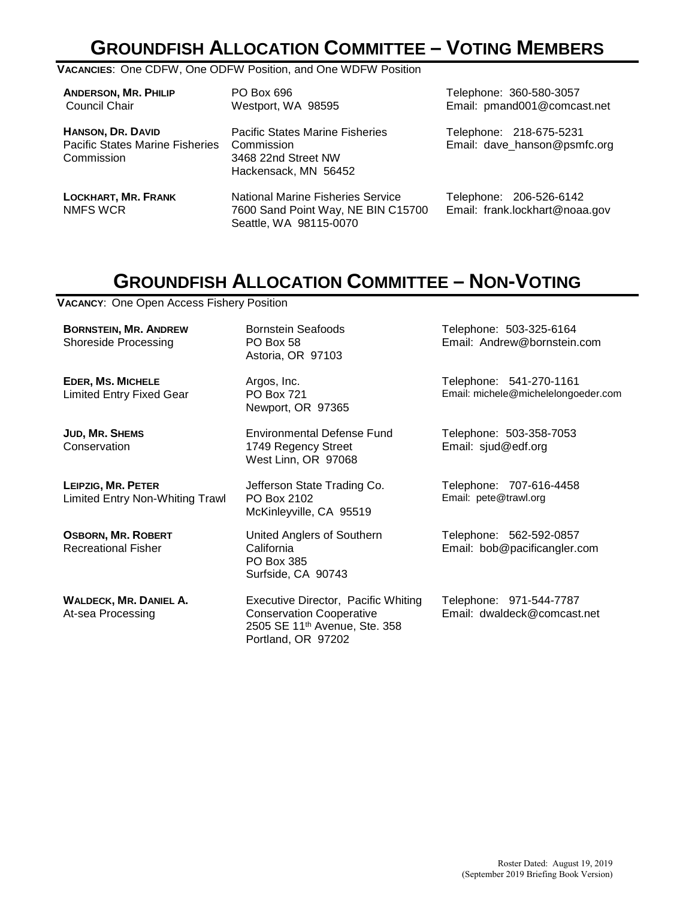# **GROUNDFISH ALLOCATION COMMITTEE – VOTING MEMBERS**

#### **VACANCIES**: One CDFW, One ODFW Position, and One WDFW Position

| <b>ANDERSON, MR. PHILIP</b><br>Council Chair                                     | PO Box 696<br>Westport, WA 98595                                                                         | Telephone: 360-580-3057<br>Email: pmand001@comcast.net    |
|----------------------------------------------------------------------------------|----------------------------------------------------------------------------------------------------------|-----------------------------------------------------------|
| <b>HANSON, DR. DAVID</b><br><b>Pacific States Marine Fisheries</b><br>Commission | <b>Pacific States Marine Fisheries</b><br>Commission<br>3468 22nd Street NW<br>Hackensack, MN 56452      | Telephone: 218-675-5231<br>Email: dave_hanson@psmfc.org   |
| <b>LOCKHART, MR. FRANK</b><br><b>NMFS WCR</b>                                    | <b>National Marine Fisheries Service</b><br>7600 Sand Point Way, NE BIN C15700<br>Seattle, WA 98115-0070 | Telephone: 206-526-6142<br>Email: frank.lockhart@noaa.gov |

## **GROUNDFISH ALLOCATION COMMITTEE – NON-VOTING**

**VACANCY**: One Open Access Fishery Position

**BORNSTEIN, MR. ANDREW**  Shoreside Processing

**EDER, MS. MICHELE** Limited Entry Fixed Gear

**JUD, MR. SHEMS Conservation** 

**LEIPZIG, MR. PETER** Limited Entry Non-Whiting Trawl

**OSBORN, MR. ROBERT** Recreational Fisher

**WALDECK, MR. DANIEL A.** At-sea Processing

Bornstein Seafoods PO Box 58 Astoria, OR 97103

Argos, Inc. PO Box 721 Newport, OR 97365

Environmental Defense Fund 1749 Regency Street West Linn, OR 97068

Jefferson State Trading Co. PO Box 2102 McKinleyville, CA 95519

United Anglers of Southern California PO Box 385 Surfside, CA 90743

Executive Director, Pacific Whiting Conservation Cooperative 2505 SE 11th Avenue, Ste. 358 Portland, OR 97202

Telephone: 503-325-6164 Email: Andrew@bornstein.com

Telephone: 541-270-1161 Email: michele@michelelongoeder.com

Telephone: 503-358-7053 Email: sjud@edf.org

Telephone: 707-616-4458 Email: pete@trawl.org

Telephone: 562-592-0857 Email: bob@pacificangler.com

Telephone: 971-544-7787 Email: dwaldeck@comcast.net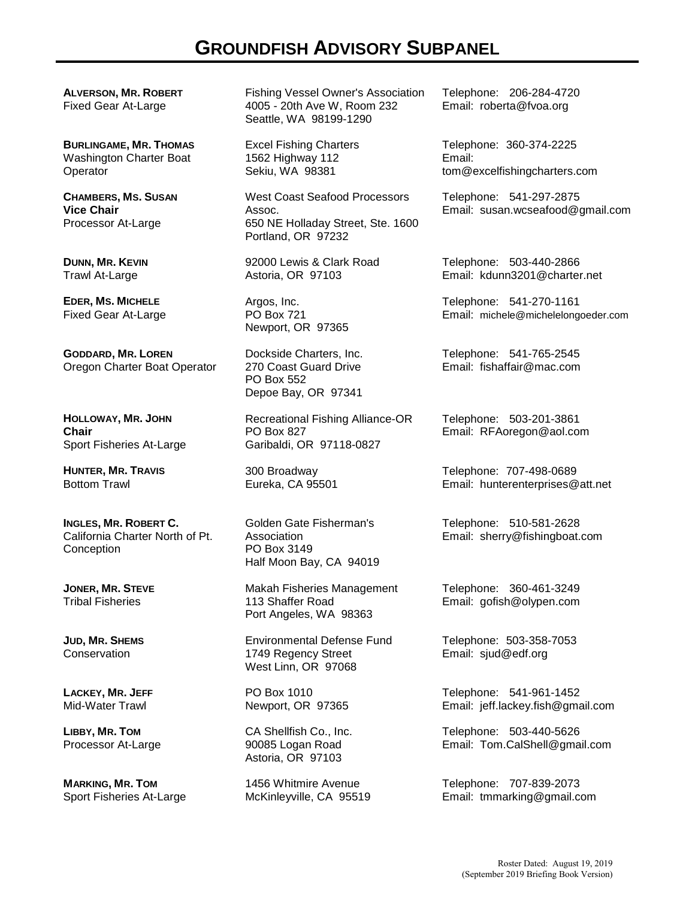## **GROUNDFISH ADVISORY SUBPANEL**

**ALVERSON, MR. ROBERT** Fixed Gear At-Large

**BURLINGAME, MR. THOMAS** Washington Charter Boat Operator

**CHAMBERS, MS. SUSAN Vice Chair** Processor At-Large

**DUNN, MR. KEVIN** Trawl At-Large

**EDER, MS. MICHELE**  Fixed Gear At-Large

**GODDARD, MR. LOREN** Oregon Charter Boat Operator

**HOLLOWAY, MR. JOHN Chair** Sport Fisheries At-Large

**HUNTER, MR. TRAVIS** Bottom Trawl

**INGLES, MR. ROBERT C.** California Charter North of Pt. **Conception** 

**JONER, MR. STEVE**  Tribal Fisheries

**JUD, MR. SHEMS Conservation** 

**LACKEY, MR. JEFF**  Mid-Water Trawl

**LIBBY, MR. TOM**  Processor At-Large

**MARKING, MR. TOM** Sport Fisheries At-Large Fishing Vessel Owner's Association 4005 - 20th Ave W, Room 232 Seattle, WA 98199-1290

Excel Fishing Charters 1562 Highway 112 Sekiu, WA 98381

West Coast Seafood Processors Assoc. 650 NE Holladay Street, Ste. 1600 Portland, OR 97232

92000 Lewis & Clark Road Astoria, OR 97103

Argos, Inc. PO Box 721 Newport, OR 97365

Dockside Charters, Inc. 270 Coast Guard Drive PO Box 552 Depoe Bay, OR 97341

Recreational Fishing Alliance-OR PO Box 827 Garibaldi, OR 97118-0827

300 Broadway Eureka, CA 95501

Golden Gate Fisherman's **Association** PO Box 3149 Half Moon Bay, CA 94019

Makah Fisheries Management 113 Shaffer Road Port Angeles, WA 98363

Environmental Defense Fund 1749 Regency Street West Linn, OR 97068

PO Box 1010 Newport, OR 97365

CA Shellfish Co., Inc. 90085 Logan Road Astoria, OR 97103

1456 Whitmire Avenue McKinleyville, CA 95519 Telephone: 206-284-4720 Email: roberta@fvoa.org

Telephone: 360-374-2225 Email: tom@excelfishingcharters.com

Telephone: 541-297-2875 Email: susan.wcseafood@gmail.com

Telephone: 503-440-2866 Email: kdunn3201@charter.net

Telephone: 541-270-1161 Email: michele@michelelongoeder.com

Telephone: 541-765-2545 Email: fishaffair@mac.com

Telephone: 503-201-3861 Email: RFAoregon@aol.com

Telephone: 707-498-0689 Email: hunterenterprises@att.net

Telephone: 510-581-2628 Email: sherry@fishingboat.com

Telephone: 360-461-3249 Email: gofish@olypen.com

Telephone: 503-358-7053 Email: sjud@edf.org

Telephone: 541-961-1452 Email: jeff.lackey.fish@gmail.com

Telephone: 503-440-5626 Email: Tom.CalShell@gmail.com

Telephone: 707-839-2073 Email: tmmarking@gmail.com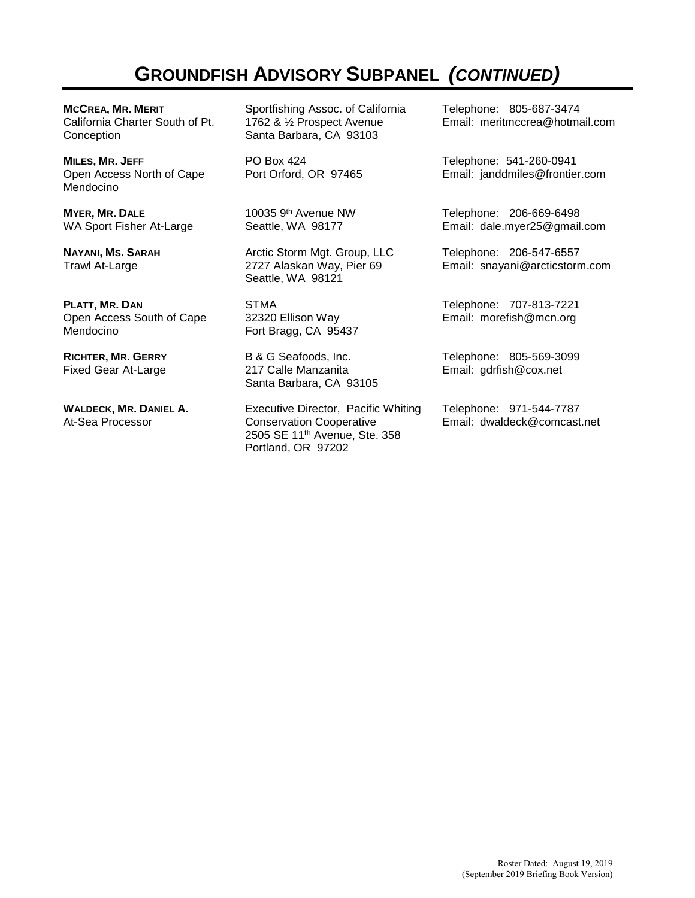# **GROUNDFISH ADVISORY SUBPANEL** *(CONTINUED)*

**MCCREA, MR. MERIT** California Charter South of Pt. **Conception** 

**MILES, MR. JEFF** Open Access North of Cape Mendocino

**MYER, MR. DALE** WA Sport Fisher At-Large

**NAYANI, MS. SARAH** Trawl At-Large

**PLATT, MR. DAN** Open Access South of Cape Mendocino

**RICHTER, MR. GERRY** Fixed Gear At-Large

**WALDECK, MR. DANIEL A.** At-Sea Processor

Sportfishing Assoc. of California 1762 & ½ Prospect Avenue Santa Barbara, CA 93103

PO Box 424 Port Orford, OR 97465

10035 9th Avenue NW Seattle, WA 98177

Arctic Storm Mgt. Group, LLC 2727 Alaskan Way, Pier 69 Seattle, WA 98121

STMA 32320 Ellison Way Fort Bragg, CA 95437

B & G Seafoods, Inc. 217 Calle Manzanita Santa Barbara, CA 93105

Executive Director, Pacific Whiting Conservation Cooperative 2505 SE 11th Avenue, Ste. 358 Portland, OR 97202

Telephone: 805-687-3474 Email: meritmccrea@hotmail.com

Telephone: 541-260-0941 Email: janddmiles@frontier.com

Telephone: 206-669-6498 Email: dale.myer25@gmail.com

Telephone: 206-547-6557 Email: snayani@arcticstorm.com

Telephone: 707-813-7221 Email: morefish@mcn.org

Telephone: 805-569-3099 Email: gdrfish@cox.net

Telephone: 971-544-7787 Email: dwaldeck@comcast.net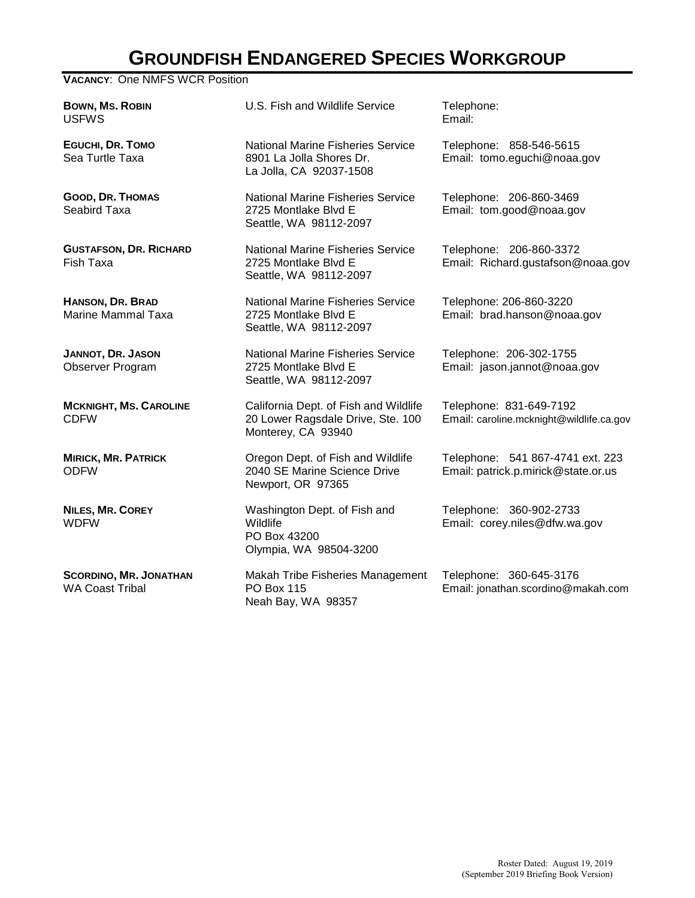# **GROUNDFISH ENDANGERED SPECIES WORKGROUP**

**VACANCY**: One NMFS WCR Position

**BOWN, MS. ROBIN** USFWS U.S. Fish and Wildlife Service Telephone: Email: **EGUCHI, DR. TOMO** Sea Turtle Taxa National Marine Fisheries Service 8901 La Jolla Shores Dr. La Jolla, CA 92037-1508 **GOOD, DR. THOMAS** Seabird Taxa National Marine Fisheries Service 2725 Montlake Blvd E Seattle, WA 98112-2097 **GUSTAFSON, DR. RICHARD** Fish Taxa National Marine Fisheries Service 2725 Montlake Blvd E Seattle, WA 98112-2097 **HANSON, DR. BRAD** Marine Mammal Taxa National Marine Fisheries Service 2725 Montlake Blvd E Seattle, WA 98112-2097 **JANNOT, DR. JASON** Observer Program National Marine Fisheries Service 2725 Montlake Blvd E Seattle, WA 98112-2097 **MCKNIGHT, MS. CAROLINE** CDFW California Dept. of Fish and Wildlife 20 Lower Ragsdale Drive, Ste. 100 Monterey, CA 93940 **MIRICK, MR. PATRICK** ODFW Oregon Dept. of Fish and Wildlife 2040 SE Marine Science Drive Newport, OR 97365

**NILES, MR. COREY** WDFW

**SCORDINO, MR. JONATHAN** WA Coast Tribal

Washington Dept. of Fish and **Wildlife** PO Box 43200 Olympia, WA 98504-3200

Makah Tribe Fisheries Management PO Box 115 Neah Bay, WA 98357

Telephone: 858-546-5615 Email: tomo.eguchi@noaa.gov

Telephone: 206-860-3469 Email: tom.good@noaa.gov

Telephone: 206-860-3372 Email: Richard.gustafson@noaa.gov

Telephone: 206-860-3220 Email: brad.hanson@noaa.gov

Telephone: 206-302-1755 Email: jason.jannot@noaa.gov

Telephone: 831-649-7192 Email: caroline.mcknight@wildlife.ca.gov

Telephone: 541 867-4741 ext. 223 Email: patrick.p.mirick@state.or.us

Telephone: 360-902-2733 Email: corey.niles@dfw.wa.gov

Telephone: 360-645-3176 Email: jonathan.scordino@makah.com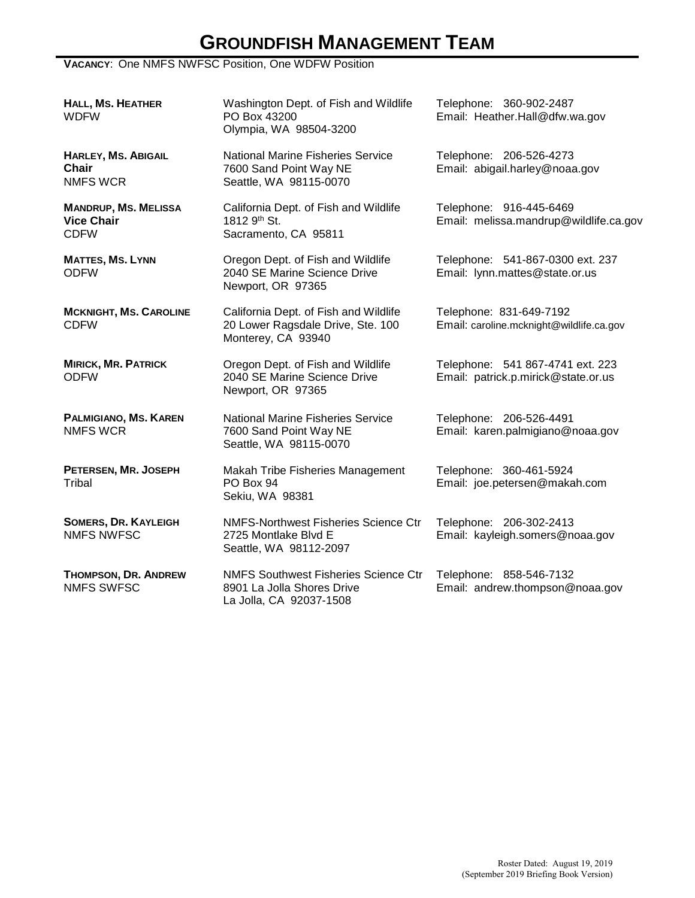# **GROUNDFISH MANAGEMENT TEAM**

#### **VACANCY**: One NMFS NWFSC Position, One WDFW Position

| <b>HALL, MS. HEATHER</b><br><b>WDFW</b>                         | Washington Dept. of Fish and Wildlife<br>PO Box 43200<br>Olympia, WA 98504-3200                  | Telephone: 360-902-2487<br>Email: Heather.Hall@dfw.wa.gov               |
|-----------------------------------------------------------------|--------------------------------------------------------------------------------------------------|-------------------------------------------------------------------------|
| <b>HARLEY, MS. ABIGAIL</b><br>Chair<br><b>NMFS WCR</b>          | <b>National Marine Fisheries Service</b><br>7600 Sand Point Way NE<br>Seattle, WA 98115-0070     | Telephone: 206-526-4273<br>Email: abigail.harley@noaa.gov               |
| <b>MANDRUP, MS. MELISSA</b><br><b>Vice Chair</b><br><b>CDFW</b> | California Dept. of Fish and Wildlife<br>1812 9th St.<br>Sacramento, CA 95811                    | Telephone: 916-445-6469<br>Email: melissa.mandrup@wildlife.ca.gov       |
| <b>MATTES, MS. LYNN</b><br><b>ODFW</b>                          | Oregon Dept. of Fish and Wildlife<br>2040 SE Marine Science Drive<br>Newport, OR 97365           | Telephone: 541-867-0300 ext. 237<br>Email: lynn.mattes@state.or.us      |
| <b>MCKNIGHT, MS. CAROLINE</b><br><b>CDFW</b>                    | California Dept. of Fish and Wildlife<br>20 Lower Ragsdale Drive, Ste. 100<br>Monterey, CA 93940 | Telephone: 831-649-7192<br>Email: caroline.mcknight@wildlife.ca.gov     |
| <b>MIRICK, MR. PATRICK</b><br><b>ODFW</b>                       | Oregon Dept. of Fish and Wildlife<br>2040 SE Marine Science Drive<br>Newport, OR 97365           | Telephone: 541 867-4741 ext. 223<br>Email: patrick.p.mirick@state.or.us |
| PALMIGIANO, MS. KAREN<br><b>NMFS WCR</b>                        | <b>National Marine Fisheries Service</b><br>7600 Sand Point Way NE<br>Seattle, WA 98115-0070     | Telephone: 206-526-4491<br>Email: karen.palmigiano@noaa.gov             |
| PETERSEN, MR. JOSEPH<br>Tribal                                  | Makah Tribe Fisheries Management<br>PO Box 94<br>Sekiu, WA 98381                                 | Telephone: 360-461-5924<br>Email: joe.petersen@makah.com                |
| <b>SOMERS, DR. KAYLEIGH</b><br><b>NMFS NWFSC</b>                | <b>NMFS-Northwest Fisheries Science Ctr</b><br>2725 Montlake Blvd E<br>Seattle, WA 98112-2097    | Telephone: 206-302-2413<br>Email: kayleigh.somers@noaa.gov              |
| <b>THOMPSON, DR. ANDREW</b><br><b>NMFS SWFSC</b>                | <b>NMFS Southwest Fisheries Science Ctr</b><br>8901 La Jolla Shores Drive                        | Telephone: 858-546-7132<br>Email: andrew.thompson@noaa.gov              |

La Jolla, CA 92037-1508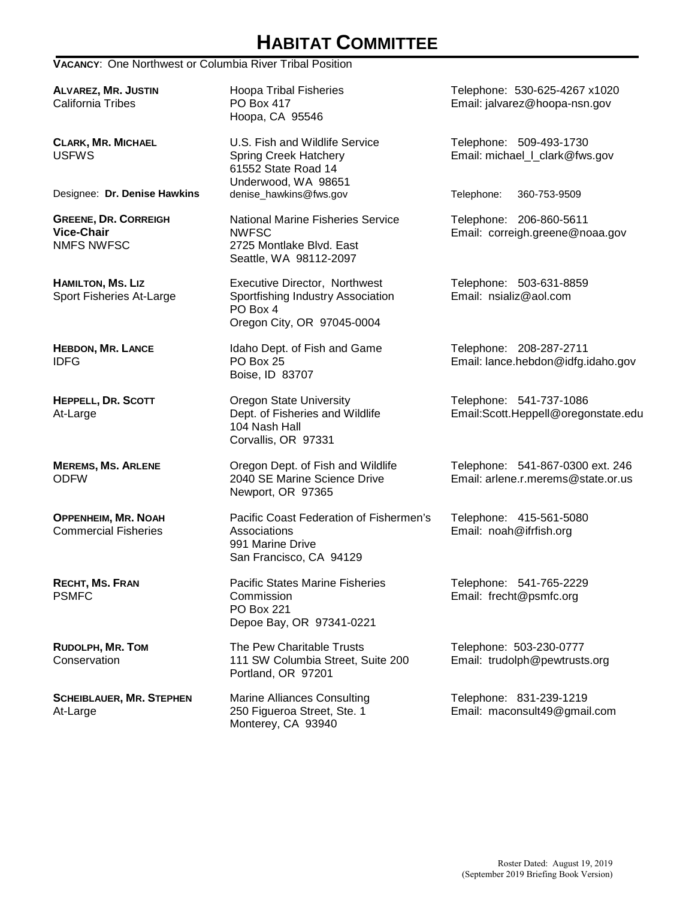# **HABITAT COMMITTEE**

#### **VACANCY**: One Northwest or Columbia River Tribal Position

**ALVAREZ, MR. JUSTIN** California Tribes

**CLARK, MR. MICHAEL**  USFWS

**GREENE, DR. CORREIGH Vice-Chair** NMFS NWFSC

**HAMILTON, MS. LIZ** Sport Fisheries At-Large

**HEBDON, MR. LANCE** IDFG

**HEPPELL, DR. SCOTT** At-Large

**MEREMS, MS. ARLENE** ODFW

**OPPENHEIM, MR. NOAH** Commercial Fisheries

**RECHT, MS. FRAN** PSMFC

**RUDOLPH, MR. TOM** Conservation

**SCHEIBLAUER, MR. STEPHEN** At-Large

Hoopa Tribal Fisheries PO Box 417 Hoopa, CA 95546

U.S. Fish and Wildlife Service Spring Creek Hatchery 61552 State Road 14 Underwood, WA 98651<br>denise\_hawkins@fws.gov Designee: **Dr. Denise Hawkins** denise\_hawkins@fws.gov Telephone: 360-753-9509

> National Marine Fisheries Service NWFSC 2725 Montlake Blvd. East Seattle, WA 98112-2097

Executive Director, Northwest Sportfishing Industry Association PO Box 4 Oregon City, OR 97045-0004

Idaho Dept. of Fish and Game PO Box 25 Boise, ID 83707

Oregon State University Dept. of Fisheries and Wildlife 104 Nash Hall Corvallis, OR 97331

Oregon Dept. of Fish and Wildlife 2040 SE Marine Science Drive Newport, OR 97365

Pacific Coast Federation of Fishermen's Associations 991 Marine Drive San Francisco, CA 94129

Pacific States Marine Fisheries **Commission** PO Box 221 Depoe Bay, OR 97341-0221

The Pew Charitable Trusts 111 SW Columbia Street, Suite 200 Portland, OR 97201

Marine Alliances Consulting 250 Figueroa Street, Ste. 1 Monterey, CA 93940

Telephone: 530-625-4267 x1020 Email: jalvarez@hoopa-nsn.gov

Telephone: 509-493-1730 Email: michael\_l\_clark@fws.gov

Telephone: 206-860-5611 Email: correigh.greene@noaa.gov

Telephone: 503-631-8859 Email: nsializ@aol.com

Telephone: 208-287-2711 Email: lance.hebdon@idfg.idaho.gov

Telephone: 541-737-1086 Email:Scott.Heppell@oregonstate.edu

Telephone: 541-867-0300 ext. 246 Email: arlene.r.merems@state.or.us

Telephone: 415-561-5080 Email: noah@ifrfish.org

Telephone: 541-765-2229 Email: frecht@psmfc.org

Telephone: 503-230-0777 Email: trudolph@pewtrusts.org

Telephone: 831-239-1219 Email: maconsult49@gmail.com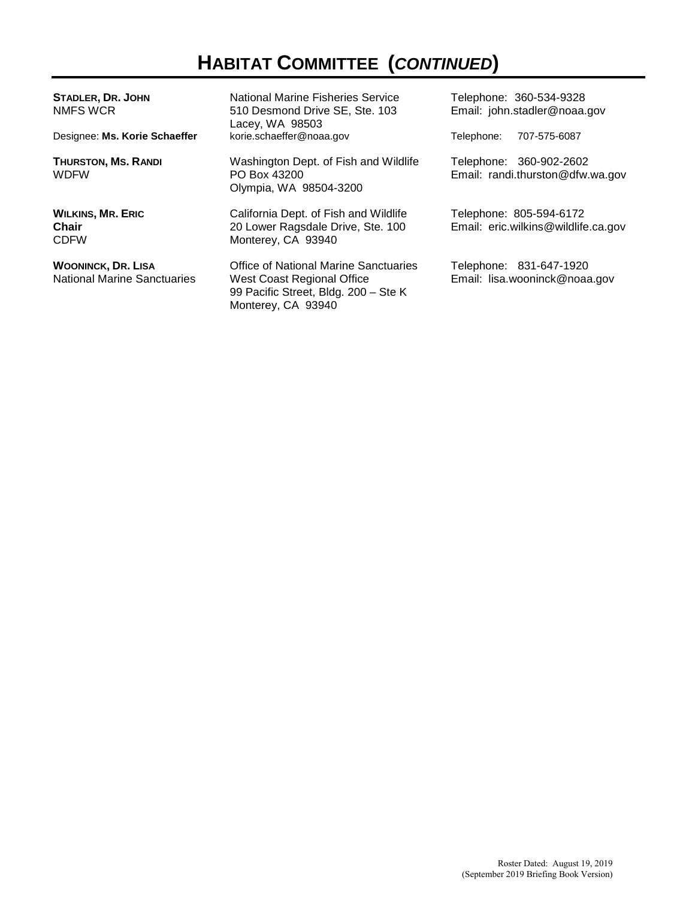# **HABITAT COMMITTEE (***CONTINUED***)**

| <b>STADLER, DR. JOHN</b><br>NMFS WCR                            | National Marine Fisheries Service<br>510 Desmond Drive SE, Ste. 103<br>Lacey, WA 98503                                                   | Telephone: 360-534-9328<br>Email: john.stadler@noaa.gov        |
|-----------------------------------------------------------------|------------------------------------------------------------------------------------------------------------------------------------------|----------------------------------------------------------------|
| Designee: Ms. Korie Schaeffer                                   | korie.schaeffer@noaa.gov                                                                                                                 | Telephone:<br>707-575-6087                                     |
| <b>THURSTON, MS. RANDI</b><br><b>WDFW</b>                       | Washington Dept. of Fish and Wildlife<br>PO Box 43200<br>Olympia, WA 98504-3200                                                          | Telephone: 360-902-2602<br>Email: randi.thurston@dfw.wa.gov    |
| <b>WILKINS, MR. ERIC</b><br><b>Chair</b><br><b>CDFW</b>         | California Dept. of Fish and Wildlife<br>20 Lower Ragsdale Drive, Ste. 100<br>Monterey, CA 93940                                         | Telephone: 805-594-6172<br>Email: eric.wilkins@wildlife.ca.gov |
| <b>WOONINCK, DR. LISA</b><br><b>National Marine Sanctuaries</b> | <b>Office of National Marine Sanctuaries</b><br>West Coast Regional Office<br>99 Pacific Street, Bldg. 200 - Ste K<br>Monterey, CA 93940 | Telephone: 831-647-1920<br>Email: lisa.wooninck@noaa.gov       |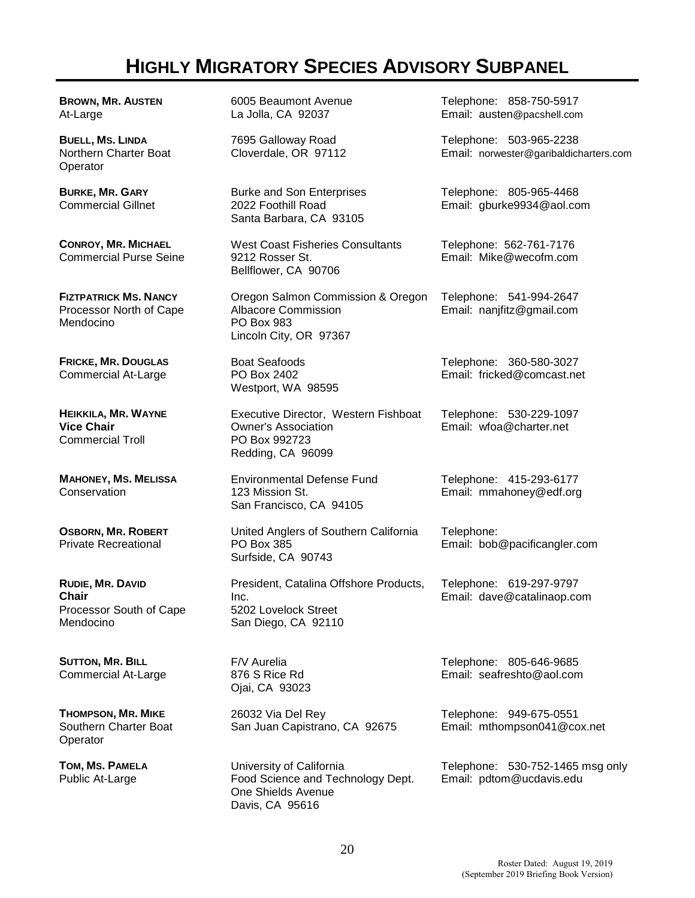# **HIGHLY MIGRATORY SPECIES ADVISORY SUBPANEL**

**BROWN, MR. AUSTEN** At-Large

**BUELL, MS. LINDA** Northern Charter Boat **Operator** 

**BURKE, MR. GARY** Commercial Gillnet

**CONROY, MR. MICHAEL** Commercial Purse Seine

**FIZTPATRICK MS. NANCY** Processor North of Cape Mendocino

**FRICKE, MR. DOUGLAS** Commercial At-Large

**HEIKKILA, MR. WAYNE Vice Chair** Commercial Troll

**MAHONEY, MS. MELISSA Conservation** 

**OSBORN, MR. ROBERT** Private Recreational

**RUDIE, MR. DAVID Chair** Processor South of Cape Mendocino

**SUTTON, MR. BILL** Commercial At-Large

**THOMPSON, MR. MIKE** Southern Charter Boat **Operator** 

**TOM, MS. PAMELA** Public At-Large

6005 Beaumont Avenue La Jolla, CA 92037

7695 Galloway Road Cloverdale, OR 97112

Burke and Son Enterprises 2022 Foothill Road Santa Barbara, CA 93105

West Coast Fisheries Consultants 9212 Rosser St. Bellflower, CA 90706

Oregon Salmon Commission & Oregon Albacore Commission PO Box 983 Lincoln City, OR 97367

Boat Seafoods PO Box 2402 Westport, WA 98595

Executive Director, Western Fishboat Owner's Association PO Box 992723 Redding, CA 96099

Environmental Defense Fund 123 Mission St. San Francisco, CA 94105

United Anglers of Southern California PO Box 385 Surfside, CA 90743

President, Catalina Offshore Products, Inc. 5202 Lovelock Street San Diego, CA 92110

F/V Aurelia 876 S Rice Rd Ojai, CA 93023

26032 Via Del Rey San Juan Capistrano, CA 92675

University of California Food Science and Technology Dept. One Shields Avenue Davis, CA 95616

Telephone: 858-750-5917 Email: austen@pacshell.com

Telephone: 503-965-2238 Email: norwester@garibaldicharters.com

Telephone: 805-965-4468 Email: gburke9934@aol.com

Telephone: 562-761-7176 Email: Mike@wecofm.com

Telephone: 541-994-2647 Email: nanjfitz@gmail.com

Telephone: 360-580-3027 Email: fricked@comcast.net

Telephone: 530-229-1097 Email: wfoa@charter.net

Telephone: 415-293-6177 Email: mmahoney@edf.org

Telephone: Email: bob@pacificangler.com

Telephone: 619-297-9797 Email: dave@catalinaop.com

Telephone: 805-646-9685 Email: seafreshto@aol.com

Telephone: 949-675-0551 Email: mthompson041@cox.net

Telephone: 530-752-1465 msg only Email: pdtom@ucdavis.edu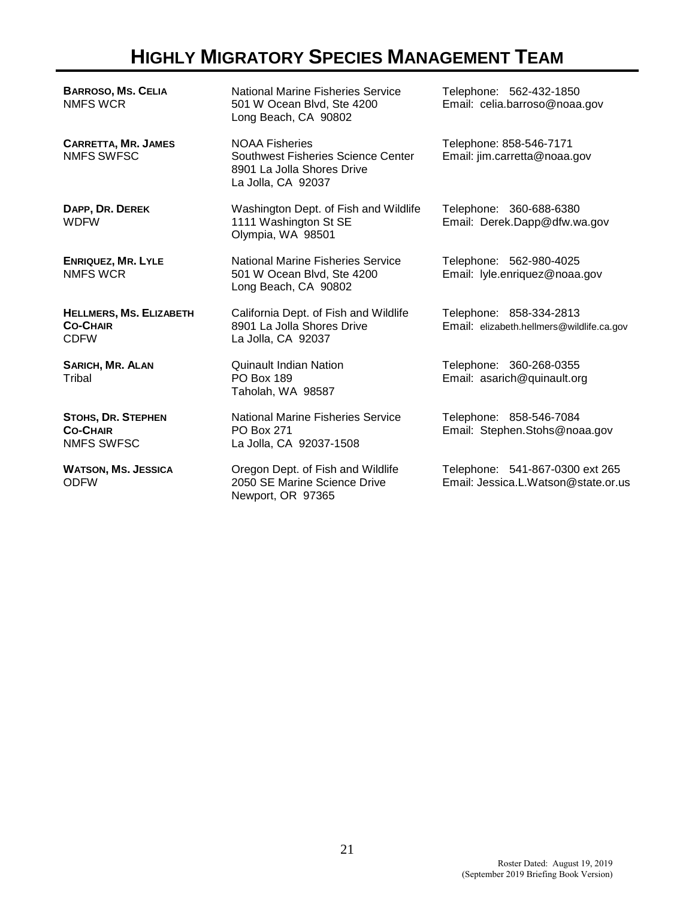# **HIGHLY MIGRATORY SPECIES MANAGEMENT TEAM**

**BARROSO, MS. CELIA** NMFS WCR

**CARRETTA, MR. JAMES** NMFS SWFSC

**DAPP, DR. DEREK WDFW** 

**ENRIQUEZ, MR. LYLE** NMFS WCR

**HELLMERS, MS. ELIZABETH CO-CHAIR** CDFW

**SARICH, MR. ALAN Tribal** 

**STOHS, DR. STEPHEN CO-CHAIR** NMFS SWFSC

**WATSON, MS. JESSICA** ODFW

National Marine Fisheries Service 501 W Ocean Blvd, Ste 4200 Long Beach, CA 90802

NOAA Fisheries Southwest Fisheries Science Center 8901 La Jolla Shores Drive La Jolla, CA 92037

Washington Dept. of Fish and Wildlife 1111 Washington St SE Olympia, WA 98501

National Marine Fisheries Service 501 W Ocean Blvd, Ste 4200 Long Beach, CA 90802

California Dept. of Fish and Wildlife 8901 La Jolla Shores Drive La Jolla, CA 92037

Quinault Indian Nation PO Box 189 Taholah, WA 98587

National Marine Fisheries Service PO Box 271 La Jolla, CA 92037-1508

Oregon Dept. of Fish and Wildlife 2050 SE Marine Science Drive Newport, OR 97365

Telephone: 562-432-1850 Email: celia.barroso@noaa.gov

Telephone: 858-546-7171 Email: jim.carretta@noaa.gov

Telephone: 360-688-6380 Email: Derek.Dapp@dfw.wa.gov

Telephone: 562-980-4025 Email: lyle.enriquez@noaa.gov

Telephone: 858-334-2813 Email: elizabeth.hellmers@wildlife.ca.gov

Telephone: 360-268-0355 Email: asarich@quinault.org

Telephone: 858-546-7084 Email: Stephen.Stohs@noaa.gov

Telephone: 541-867-0300 ext 265 Email: Jessica.L.Watson@state.or.us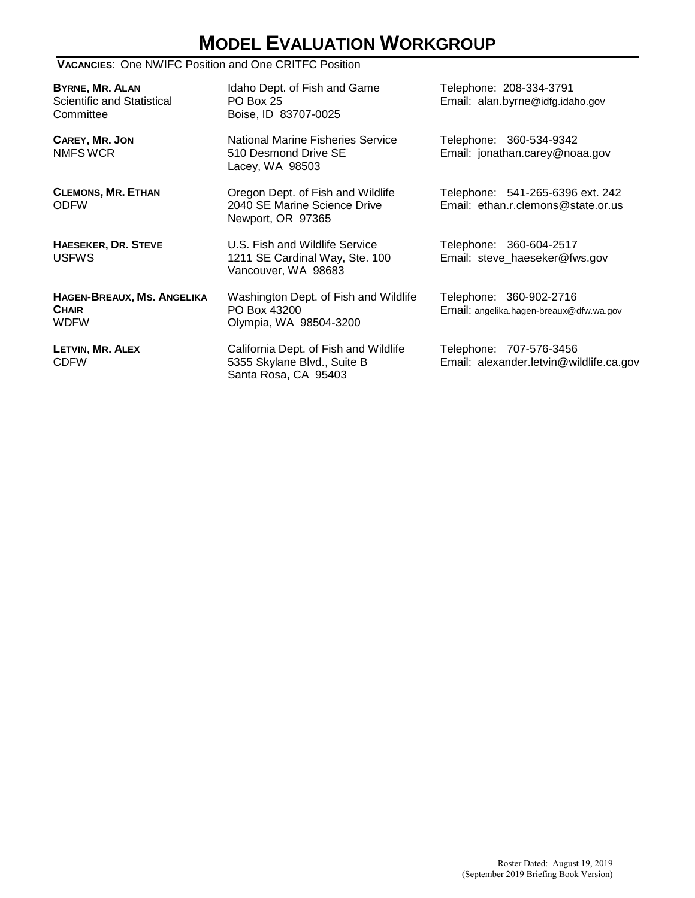# **MODEL EVALUATION WORKGROUP**

#### **VACANCIES**: One NWIFC Position and One CRITFC Position

**BYRNE, MR. ALAN** Scientific and Statistical **Committee** 

**CAREY, MR. JON**  NMFS WCR

**CLEMONS, MR. ETHAN** ODFW

**HAESEKER, DR. STEVE** USFWS

**HAGEN-BREAUX, MS. ANGELIKA CHAIR** WDFW

**LETVIN, MR. ALEX** CDFW

Idaho Dept. of Fish and Game PO Box 25 Boise, ID 83707-0025

National Marine Fisheries Service 510 Desmond Drive SE Lacey, WA 98503

Oregon Dept. of Fish and Wildlife 2040 SE Marine Science Drive Newport, OR 97365

U.S. Fish and Wildlife Service 1211 SE Cardinal Way, Ste. 100 Vancouver, WA 98683

Washington Dept. of Fish and Wildlife PO Box 43200 Olympia, WA 98504-3200

California Dept. of Fish and Wildlife 5355 Skylane Blvd., Suite B Santa Rosa, CA 95403

Telephone: 208-334-3791 Email: alan.byrne@idfg.idaho.gov

Telephone: 360-534-9342 Email: jonathan.carey@noaa.gov

Telephone: 541-265-6396 ext. 242 Email: ethan.r.clemons@state.or.us

Telephone: 360-604-2517 Email: steve\_haeseker@fws.gov

Telephone: 360-902-2716 Email: angelika.hagen-breaux@dfw.wa.gov

Telephone: 707-576-3456 Email: alexander.letvin@wildlife.ca.gov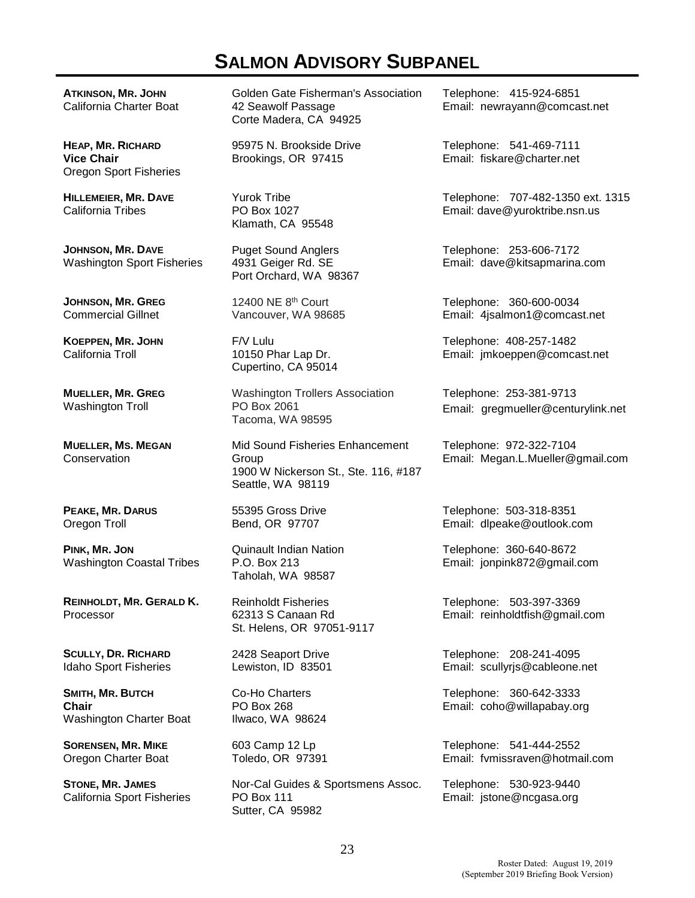# **SALMON ADVISORY SUBPANEL**

**ATKINSON, MR. JOHN** California Charter Boat

**HEAP, MR. RICHARD Vice Chair** Oregon Sport Fisheries

**HILLEMEIER, MR. DAVE** California Tribes

**JOHNSON, MR. DAVE** Washington Sport Fisheries

**JOHNSON, MR. GREG**  Commercial Gillnet

**KOEPPEN, MR. JOHN**  California Troll

**MUELLER, MR. GREG**  Washington Troll

**MUELLER, MS. MEGAN Conservation** 

**PEAKE, MR. DARUS** Oregon Troll

**PINK, MR. JON** Washington Coastal Tribes

**REINHOLDT, MR. GERALD K.** Processor

**SCULLY, DR. RICHARD** Idaho Sport Fisheries

**SMITH, MR. BUTCH Chair** Washington Charter Boat

**SORENSEN, MR. MIKE** Oregon Charter Boat

**STONE, MR. JAMES** California Sport Fisheries Golden Gate Fisherman's Association 42 Seawolf Passage Corte Madera, CA 94925

95975 N. Brookside Drive Brookings, OR 97415

Yurok Tribe PO Box 1027 Klamath, CA 95548

Puget Sound Anglers 4931 Geiger Rd. SE Port Orchard, WA 98367

12400 NE 8th Court Vancouver, WA 98685

F/V Lulu 10150 Phar Lap Dr. Cupertino, CA 95014

Washington Trollers Association PO Box 2061 Tacoma, WA 98595

Mid Sound Fisheries Enhancement Group 1900 W Nickerson St., Ste. 116, #187 Seattle, WA 98119

55395 Gross Drive Bend, OR 97707

Quinault Indian Nation P.O. Box 213 Taholah, WA 98587

Reinholdt Fisheries 62313 S Canaan Rd St. Helens, OR 97051-9117

2428 Seaport Drive Lewiston, ID 83501

Co-Ho Charters PO Box 268 Ilwaco, WA 98624

603 Camp 12 Lp Toledo, OR 97391

Nor-Cal Guides & Sportsmens Assoc. PO Box 111 Sutter, CA 95982

Telephone: 415-924-6851 Email: newrayann@comcast.net

Telephone: 541-469-7111 Email: fiskare@charter.net

Telephone: 707-482-1350 ext. 1315 Email: dave@yuroktribe.nsn.us

Telephone: 253-606-7172 Email: dave@kitsapmarina.com

Telephone: 360-600-0034 Email: 4jsalmon1@comcast.net

Telephone: 408-257-1482 Email: jmkoeppen@comcast.net

Telephone: 253-381-9713 Email: gregmueller@centurylink.net

Telephone: 972-322-7104 Email: Megan.L.Mueller@gmail.com

Telephone: 503-318-8351 Email: dlpeake@outlook.com

Telephone: 360-640-8672 Email: jonpink872@gmail.com

Telephone: 503-397-3369 Email: reinholdtfish@gmail.com

Telephone: 208-241-4095 Email: scullyrjs@cableone.net

Telephone: 360-642-3333 Email: coho@willapabay.org

Telephone: 541-444-2552 Email: fvmissraven@hotmail.com

Telephone: 530-923-9440 Email: jstone@ncgasa.org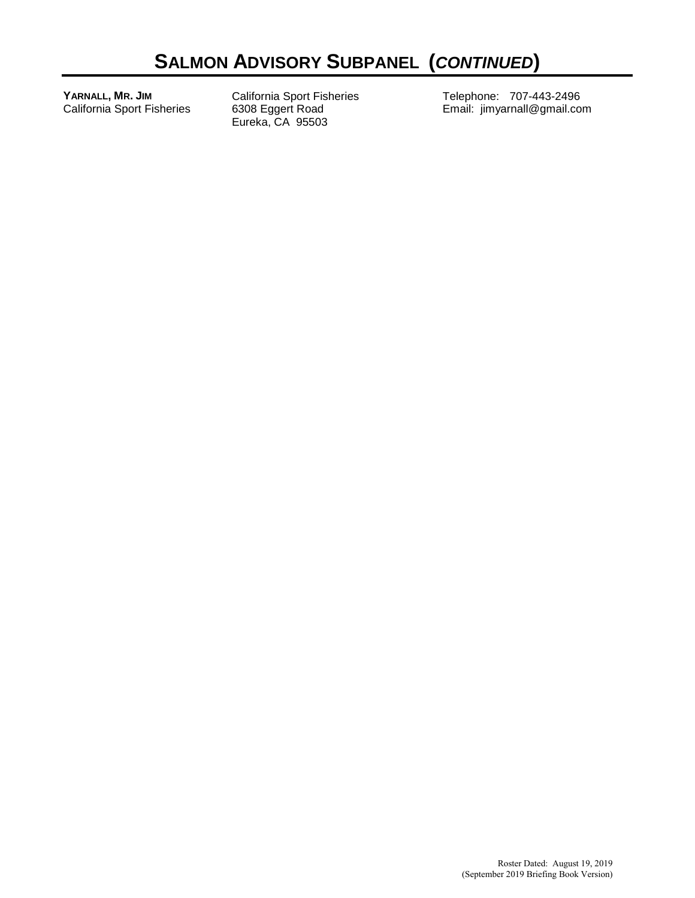**YARNALL, MR. JIM** California Sport Fisheries California Sport Fisheries 6308 Eggert Road Eureka, CA 95503

Telephone: 707-443-2496 Email: jimyarnall@gmail.com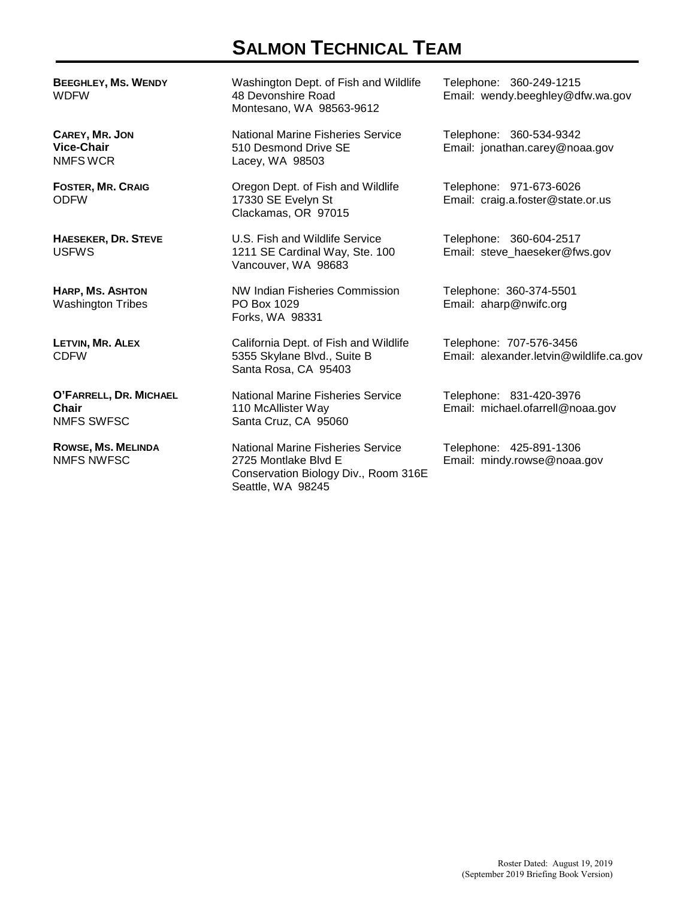## **SALMON TECHNICAL TEAM**

**BEEGHLEY, MS. WENDY** WDFW

**CAREY, MR. JON Vice-Chair** NMFS WCR

**FOSTER, MR. CRAIG** ODFW

**HAESEKER, DR. STEVE** USFWS

**HARP, MS. ASHTON** Washington Tribes

**LETVIN, MR. ALEX** CDFW

**O'FARRELL, DR. MICHAEL Chair** NMFS SWFSC

**ROWSE, MS. MELINDA** NMFS NWFSC

Washington Dept. of Fish and Wildlife 48 Devonshire Road Montesano, WA 98563-9612

National Marine Fisheries Service 510 Desmond Drive SE Lacey, WA 98503

Oregon Dept. of Fish and Wildlife 17330 SE Evelyn St Clackamas, OR 97015

U.S. Fish and Wildlife Service 1211 SE Cardinal Way, Ste. 100 Vancouver, WA 98683

NW Indian Fisheries Commission PO Box 1029 Forks, WA 98331

California Dept. of Fish and Wildlife 5355 Skylane Blvd., Suite B Santa Rosa, CA 95403

National Marine Fisheries Service 110 McAllister Way Santa Cruz, CA 95060

National Marine Fisheries Service 2725 Montlake Blvd E Conservation Biology Div., Room 316E Seattle, WA 98245

Telephone: 360-249-1215 Email: wendy.beeghley@dfw.wa.gov

Telephone: 360-534-9342 Email: jonathan.carey@noaa.gov

Telephone: 971-673-6026 Email: craig.a.foster@state.or.us

Telephone: 360-604-2517 Email: steve\_haeseker@fws.gov

Telephone: 360-374-5501 Email: aharp@nwifc.org

Telephone: 707-576-3456 Email: alexander.letvin@wildlife.ca.gov

Telephone: 831-420-3976 Email: michael.ofarrell@noaa.gov

Telephone: 425-891-1306 Email: mindy.rowse@noaa.gov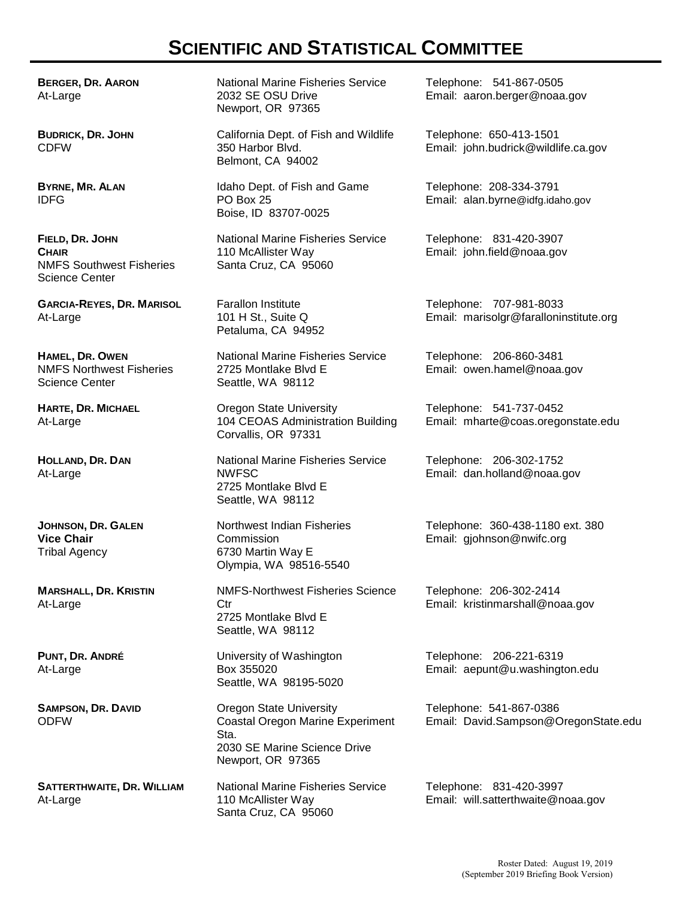## **SCIENTIFIC AND STATISTICAL COMMITTEE**

**BERGER, DR. AARON** At-Large

**BUDRICK, DR. JOHN** CDFW

**BYRNE, MR. ALAN** IDFG

**FIELD, DR. JOHN CHAIR** NMFS Southwest Fisheries Science Center

**GARCIA-REYES, DR. MARISOL** At-Large

**HAMEL, DR. OWEN** NMFS Northwest Fisheries Science Center

**HARTE, DR. MICHAEL** At-Large

**HOLLAND, DR. DAN** At-Large

**JOHNSON, DR. GALEN Vice Chair** Tribal Agency

**MARSHALL, DR. KRISTIN** At-Large

**PUNT, DR. ANDRÉ** At-Large

**SAMPSON, DR. DAVID** ODFW

**SATTERTHWAITE, DR. WILLIAM**  At-Large

National Marine Fisheries Service 2032 SE OSU Drive Newport, OR 97365

California Dept. of Fish and Wildlife 350 Harbor Blvd. Belmont, CA 94002

Idaho Dept. of Fish and Game PO Box 25 Boise, ID 83707-0025

National Marine Fisheries Service 110 McAllister Way Santa Cruz, CA 95060

Farallon Institute 101 H St., Suite Q Petaluma, CA 94952

National Marine Fisheries Service 2725 Montlake Blvd E Seattle, WA 98112

Oregon State University 104 CEOAS Administration Building Corvallis, OR 97331

National Marine Fisheries Service NWFSC 2725 Montlake Blvd E Seattle, WA 98112

Northwest Indian Fisheries Commission 6730 Martin Way E Olympia, WA 98516-5540

NMFS-Northwest Fisheries Science Ctr 2725 Montlake Blvd E Seattle, WA 98112

University of Washington Box 355020 Seattle, WA 98195-5020

Oregon State University Coastal Oregon Marine Experiment Sta. 2030 SE Marine Science Drive Newport, OR 97365

National Marine Fisheries Service 110 McAllister Way Santa Cruz, CA 95060

Telephone: 541-867-0505 Email: aaron.berger@noaa.gov

Telephone: 650-413-1501 Email: john.budrick@wildlife.ca.gov

Telephone: 208-334-3791 Email: alan.byrne@idfg.idaho.gov

Telephone: 831-420-3907 Email: john.field@noaa.gov

Telephone: 707-981-8033 Email: marisolgr@faralloninstitute.org

Telephone: 206-860-3481 Email: owen.hamel@noaa.gov

Telephone: 541-737-0452 Email: mharte@coas.oregonstate.edu

Telephone: 206-302-1752 Email: dan.holland@noaa.gov

Telephone: 360-438-1180 ext. 380 Email: gjohnson@nwifc.org

Telephone: 206-302-2414 Email: kristinmarshall@noaa.gov

Telephone: 206-221-6319 Email: aepunt@u.washington.edu

Telephone: 541-867-0386 Email: David.Sampson@OregonState.edu

Telephone: 831-420-3997 Email: will.satterthwaite@noaa.gov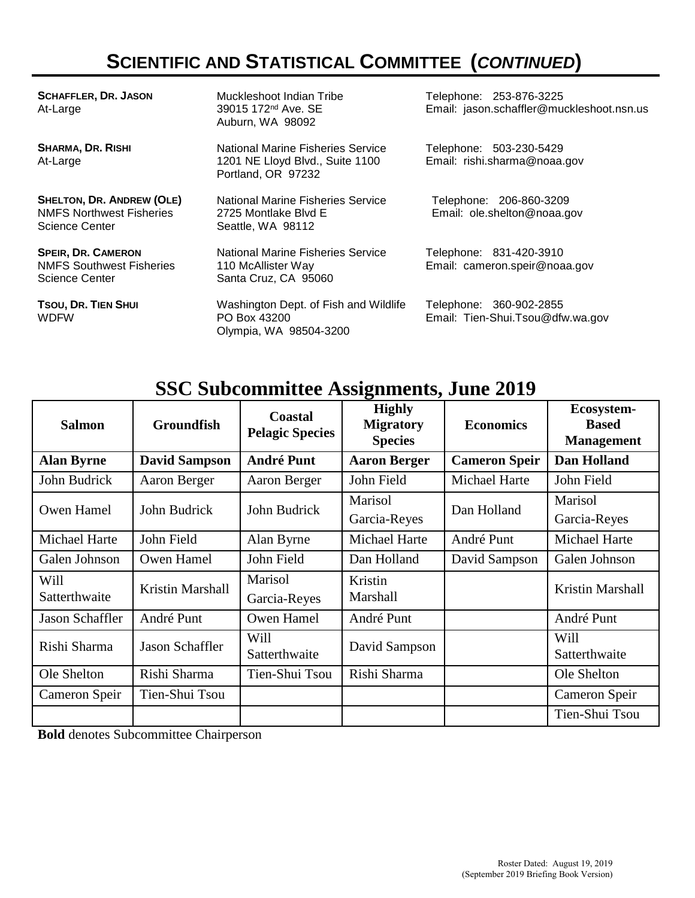# **SCIENTIFIC AND STATISTICAL COMMITTEE (***CONTINUED***)**

| <b>SCHAFFLER, DR. JASON</b><br>At-Large                                                      | Muckleshoot Indian Tribe<br>39015 172 <sup>nd</sup> Ave. SE<br>Auburn, WA 98092            | Telephone: 253-876-3225<br>Email: jason.schaffler@muckleshoot.nsn.us |
|----------------------------------------------------------------------------------------------|--------------------------------------------------------------------------------------------|----------------------------------------------------------------------|
| <b>SHARMA, DR. RISHI</b><br>At-Large                                                         | National Marine Fisheries Service<br>1201 NE Lloyd Blvd., Suite 1100<br>Portland, OR 97232 | Telephone: 503-230-5429<br>Email: rishi.sharma@noaa.gov              |
| <b>SHELTON, DR. ANDREW (OLE)</b><br><b>NMFS Northwest Fisheries</b><br><b>Science Center</b> | National Marine Fisheries Service<br>2725 Montlake Blvd E<br>Seattle, WA 98112             | Telephone: 206-860-3209<br>Email: ole.shelton@noaa.gov               |
| <b>SPEIR, DR. CAMERON</b><br><b>NMFS Southwest Fisheries</b><br>Science Center               | National Marine Fisheries Service<br>110 McAllister Way<br>Santa Cruz, CA 95060            | Telephone: 831-420-3910<br>Email: cameron.speir@noaa.gov             |
| TSOU, DR. TIEN SHUI<br><b>WDFW</b>                                                           | Washington Dept. of Fish and Wildlife<br>PO Box 43200<br>Olympia, WA 98504-3200            | Telephone: 360-902-2855<br>Email: Tien-Shui.Tsou@dfw.wa.gov          |

# **SSC Subcommittee Assignments, June 2019**

| <b>Salmon</b>                | <b>Groundfish</b>      | <b>Coastal</b><br><b>Pelagic Species</b> | <b>Highly</b><br><b>Migratory</b><br><b>Species</b> | <b>Economics</b>     | Ecosystem-<br><b>Based</b><br><b>Management</b> |
|------------------------------|------------------------|------------------------------------------|-----------------------------------------------------|----------------------|-------------------------------------------------|
| <b>Alan Byrne</b>            | <b>David Sampson</b>   | <b>André Punt</b>                        | <b>Aaron Berger</b>                                 | <b>Cameron Speir</b> | <b>Dan Holland</b>                              |
| John Budrick                 | Aaron Berger           | Aaron Berger                             | John Field                                          | <b>Michael Harte</b> | John Field                                      |
| Owen Hamel                   | John Budrick           | John Budrick                             | Marisol<br>Garcia-Reyes                             | Dan Holland          | Marisol<br>Garcia-Reyes                         |
| Michael Harte                | John Field             | Alan Byrne                               | Michael Harte                                       | André Punt           | Michael Harte                                   |
| Galen Johnson                | Owen Hamel             | John Field                               | Dan Holland                                         | David Sampson        | Galen Johnson                                   |
| <b>Will</b><br>Satterthwaite | Kristin Marshall       | Marisol<br>Garcia-Reyes                  | Kristin<br>Marshall                                 |                      | Kristin Marshall                                |
| Jason Schaffler              | André Punt             | Owen Hamel                               | André Punt                                          |                      | André Punt                                      |
| Rishi Sharma                 | <b>Jason Schaffler</b> | Will<br>Satterthwaite                    | David Sampson                                       |                      | Will<br>Satterthwaite                           |
| Ole Shelton                  | Rishi Sharma           | Tien-Shui Tsou                           | Rishi Sharma                                        |                      | Ole Shelton                                     |
| Cameron Speir                | Tien-Shui Tsou         |                                          |                                                     |                      | Cameron Speir                                   |
|                              |                        |                                          |                                                     |                      | Tien-Shui Tsou                                  |

**Bold** denotes Subcommittee Chairperson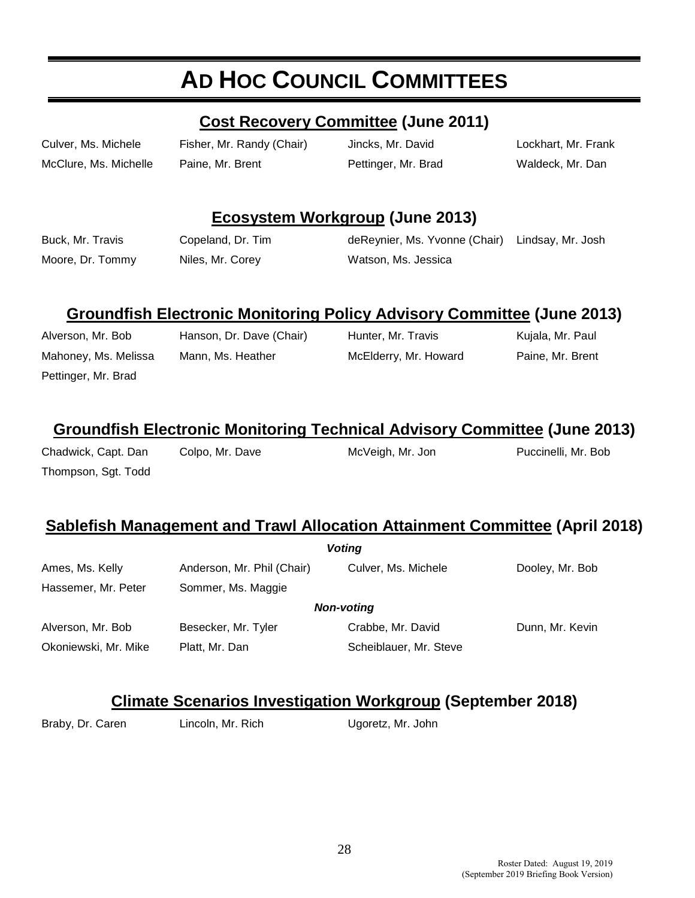# **AD HOC COUNCIL COMMITTEES**

#### **Cost Recovery Committee (June 2011)**

McClure, Ms. Michelle Paine, Mr. Brent Pettinger, Mr. Brad Waldeck, Mr. Dan

Culver, Ms. Michele Fisher, Mr. Randy (Chair) Jincks, Mr. David Lockhart, Mr. Frank

#### **Ecosystem Workgroup (June 2013)**

Buck, Mr. Travis Copeland, Dr. Tim deReynier, Ms. Yvonne (Chair) Lindsay, Mr. Josh Moore, Dr. Tommy Miles, Mr. Corey **Watson, Ms. Jessica** 

### **Groundfish Electronic Monitoring Policy Advisory Committee (June 2013)**

Pettinger, Mr. Brad

Alverson, Mr. Bob Hanson, Dr. Dave (Chair) Hunter, Mr. Travis Kujala, Mr. Paul Mahoney, Ms. Melissa Mann, Ms. Heather McElderry, Mr. Howard Paine, Mr. Brent

#### **Groundfish Electronic Monitoring Technical Advisory Committee (June 2013)**

Chadwick, Capt. Dan Colpo, Mr. Dave McVeigh, Mr. Jon Puccinelli, Mr. Bob Thompson, Sgt. Todd

#### **Sablefish Management and Trawl Allocation Attainment Committee (April 2018)**

| Anderson, Mr. Phil (Chair) | Culver, Ms. Michele    | Dooley, Mr. Bob                    |
|----------------------------|------------------------|------------------------------------|
| Sommer, Ms. Maggie         |                        |                                    |
|                            |                        |                                    |
| Besecker, Mr. Tyler        | Crabbe, Mr. David      | Dunn, Mr. Kevin                    |
| Platt, Mr. Dan             | Scheiblauer, Mr. Steve |                                    |
|                            |                        | <b>Voting</b><br><b>Non-voting</b> |

#### **Climate Scenarios Investigation Workgroup (September 2018)**

Braby, Dr. Caren Lincoln, Mr. Rich Ugoretz, Mr. John